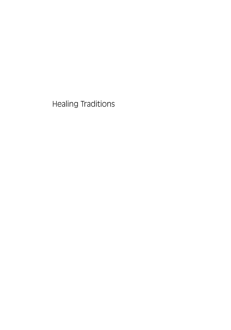Healing Traditions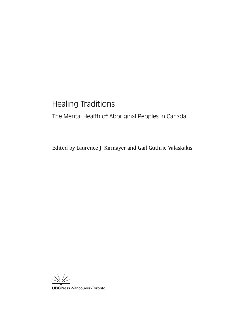# Healing Traditions

The Mental Health of Aboriginal Peoples in Canada

Edited by Laurence J. Kirmayer and Gail Guthrie Valaskakis

**UBC**Press Vancouver Toronto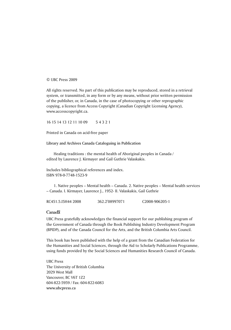#### © UBC Press 2009

All rights reserved. No part of this publication may be reproduced, stored in a retrieval system, or transmitted, in any form or by any means, without prior written permission of the publisher, or, in Canada, in the case of photocopying or other reprographic copying, a licence from Access Copyright (Canadian Copyright Licensing Agency), www.accesscopyright.ca.

16 15 14 13 12 11 10 09 5 4 3 2 1

Printed in Canada on acid-free paper

Library and Archives Canada Cataloguing in Publication

 Healing traditions : the mental health of Aboriginal peoples in Canada / edited by Laurence J. Kirmayer and Gail Guthrie Valaskakis.

Includes bibliographical references and index. ISBN 978-0-7748-1523-9

 1. Native peoples – Mental health – Canada. 2. Native peoples – Mental health services – Canada. I. Kirmayer, Laurence J., 1952- II. Valaskakis, Gail Guthrie

RC451.5.I5H44 2008 362.2'08997071 C2008-906205-1

#### Canada

UBC Press gratefully acknowledges the financial support for our publishing program of the Government of Canada through the Book Publishing Industry Development Program (BPIDP), and of the Canada Council for the Arts, and the British Columbia Arts Council.

This book has been published with the help of a grant from the Canadian Federation for the Humanities and Social Sciences, through the Aid to Scholarly Publications Programme, using funds provided by the Social Sciences and Humanities Research Council of Canada.

UBC Press The University of British Columbia 2029 West Mall Vancouver, BC V6T 1Z2 604-822-5959 / Fax: 604-822-6083 www.ubcpress.ca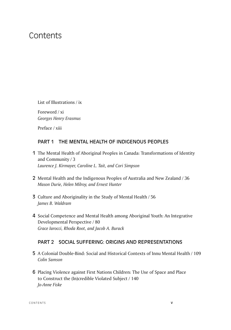# **Contents**

List of Illustrations / ix

 Foreword / xi *Georges Henry Erasmus*

Preface / xiii

## PART 1 THE MENTAL HEALTH OF INDIGENOUS PEOPLES

- 1 The Mental Health of Aboriginal Peoples in Canada: Transformations of Identity and Community / 3 *Laurence J. Kirmayer, Caroline L. Tait, and Cori Simpson*
- 2 Mental Health and the Indigenous Peoples of Australia and New Zealand / 36 *Mason Durie, Helen Milroy, and Ernest Hunter*
- 3 Culture and Aboriginality in the Study of Mental Health / 56 *James B. Waldram*
- 4 Social Competence and Mental Health among Aboriginal Youth: An Integrative Developmental Perspective / 80 *Grace Iarocci, Rhoda Root, and Jacob A. Burack*

## PART 2 SOCIAL SUFFERING: ORIGINS AND REPRESENTATIONS

- 5 A Colonial Double-Bind: Social and Historical Contexts of Innu Mental Health / 109 *Colin Samson*
- 6 Placing Violence against First Nations Children: The Use of Space and Place to Construct the (In)credible Violated Subject / 140 *Jo-Anne Fiske*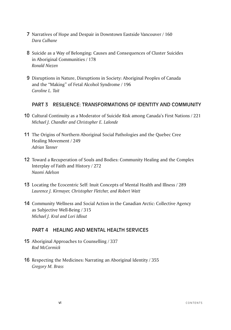- 7 Narratives of Hope and Despair in Downtown Eastside Vancouver / 160 *Dara Culhane*
- 8 Suicide as a Way of Belonging: Causes and Consequences of Cluster Suicides in Aboriginal Communities / 178  *Ronald Niezen*
- 9 Disruptions in Nature, Disruptions in Society: Aboriginal Peoples of Canada and the "Making" of Fetal Alcohol Syndrome / 196 *Caroline L. Tait*

## PART 3 RESILIENCE: TRANSFORMATIONS OF IDENTITY AND COMMUNITY

- 10 Cultural Continuity as a Moderator of Suicide Risk among Canada's First Nations / 221 *Michael J. Chandler and Christopher E. Lalonde*
- 11 The Origins of Northern Aboriginal Social Pathologies and the Quebec Cree Healing Movement / 249 *Adrian Tanner*
- 12 Toward a Recuperation of Souls and Bodies: Community Healing and the Complex Interplay of Faith and History / 272 *Naomi Adelson*
- 13 Locating the Ecocentric Self: Inuit Concepts of Mental Health and Illness / 289  *Laurence J. Kirmayer, Christopher Fletcher, and Robert Watt*
- 14 Community Wellness and Social Action in the Canadian Arctic: Collective Agency as Subjective Well-Being / 315 *Michael J. Kral and Lori Idlout*

### PART 4 HEALING AND MENTAL HEALTH SERVICES

- 15 Aboriginal Approaches to Counselling / 337  *Rod McCormick*
- 16 Respecting the Medicines: Narrating an Aboriginal Identity / 355 *Gregory M. Brass*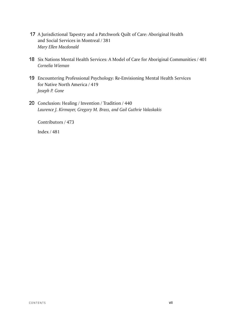- 17 A Jurisdictional Tapestry and a Patchwork Quilt of Care: Aboriginal Health and Social Services in Montreal / 381 *Mary Ellen Macdonald*
- 18 Six Nations Mental Health Services: A Model of Care for Aboriginal Communities / 401 *Cornelia Wieman*
- 19 Encountering Professional Psychology: Re-Envisioning Mental Health Services for Native North America / 419 *Joseph P. Gone*
- 20 Conclusion: Healing / Invention / Tradition / 440 *Laurence J. Kirmayer, Gregory M. Brass, and Gail Guthrie Valaskakis*

Contributors / 473

Index / 481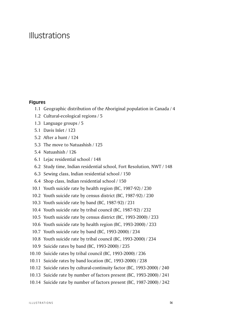## Illustrations

### **Figures**

- 1.1 Geographic distribution of the Aboriginal population in Canada / 4
- 1.2 Cultural-ecological regions / 5
- 1.3 Language groups / 5
- 5.1 Davis Inlet / 123
- 5.2 After a hunt / 124
- 5.3 The move to Natuashish / 125
- 5.4 Natuashish / 126
- 6.1 Lejac residential school / 148
- 6.2 Study time, Indian residential school, Fort Resolution, NWT / 148
- 6.3 Sewing class, Indian residential school / 150
- 6.4 Shop class, Indian residential school / 150
- 10.1 Youth suicide rate by health region (BC, 1987-92) / 230
- 10.2 Youth suicide rate by census district (BC, 1987-92) / 230
- 10.3 Youth suicide rate by band (BC, 1987-92) / 231
- 10.4 Youth suicide rate by tribal council (BC, 1987-92) / 232
- 10.5 Youth suicide rate by census district (BC, 1993-2000) / 233
- 10.6 Youth suicide rate by health region (BC, 1993-2000) / 233
- 10.7 Youth suicide rate by band (BC, 1993-2000) / 234
- 10.8 Youth suicide rate by tribal council (BC, 1993-2000) / 234
- 10.9 Suicide rates by band (BC, 1993-2000) / 235
- 10.10 Suicide rates by tribal council (BC, 1993-2000) / 236
- 10.11 Suicide rates by band location (BC, 1993-2000) / 238
- 10.12 Suicide rates by cultural-continuity factor (BC, 1993-2000) / 240
- 10.13 Suicide rate by number of factors present (BC, 1993-2000) / 241
- 10.14 Suicide rate by number of factors present (BC, 1987-2000) / 242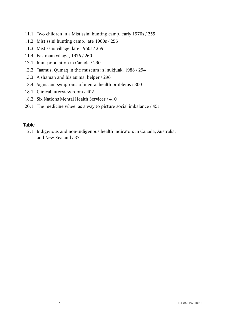- 11.1 Two children in a Mistissini hunting camp, early 1970s / 255
- 11.2 Mistissini hunting camp, late 1960s / 256
- 11.3 Mistissini village, late 1960s / 259
- 11.4 Eastmain village, 1976 / 260
- 13.1 Inuit population in Canada / 290
- 13.2 Taamusi Qumaq in the museum in Inukjuak, 1988 / 294
- 13.3 A shaman and his animal helper / 296
- 13.4 Signs and symptoms of mental health problems / 300
- 18.1 Clinical interview room / 402
- 18.2 Six Nations Mental Health Services / 410
- 20.1 The medicine wheel as a way to picture social imbalance / 451

### **Table**

 2.1 Indigenous and non-indigenous health indicators in Canada, Australia, and New Zealand / 37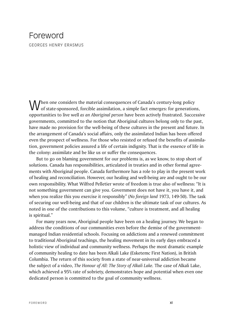## Foreword GEORGES HENRY ERASMUS

When one considers the material consequences of Canada's century-long policy of state-sponsored, forcible assimilation, a simple fact emerges: for generations, opportunities to live well *as an Aboriginal person* have been actively frustrated. Successive governments, committed to the notion that Aboriginal cultures belong only to the past, have made no provision for the well-being of these cultures in the present and future. In the arrangement of Canada's social affairs, only the assimilated Indian has been offered even the prospect of wellness. For those who resisted or refused the benefits of assimilation, government policies assured a life of certain indignity. That is the essence of life in the colony: assimilate and be like us or suffer the consequences.

 But to go on blaming government for our problems is, as we know, to stop short of solutions. Canada has responsibilities, articulated in treaties and in other formal agreements with Aboriginal people. Canada furthermore has a role to play in the present work of healing and reconciliation. However, our healing and well-being are and ought to be our own responsibility. What Wilfred Pelletier wrote of freedom is true also of wellness: "It is not something government can give you. Government does not have it, you have it, and when you realize this you exercise it responsibly" (*No foreign land* 1973, 149-50). The task of securing our well-being and that of our children is the ultimate task of our cultures. As noted in one of the contributions to this volume, "culture is treatment, and all healing is spiritual."

 For many years now, Aboriginal people have been on a healing journey. We began to address the conditions of our communities even before the demise of the governmentmanaged Indian residential schools. Focusing on addictions and a renewed commitment to traditional Aboriginal teachings, the healing movement in its early days embraced a holistic view of individual and community wellness. Perhaps the most dramatic example of community healing to date has been Alkali Lake (Esketemc First Nation), in British Columbia. The return of this society from a state of near-universal addiction became the subject of a video, *The Honour of All: The Story of Alkali Lake.* The case of Alkali Lake, which achieved a 95% rate of sobriety, demonstrates hope and potential when even one dedicated person is committed to the goal of community wellness.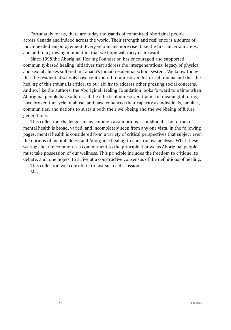Fortunately for us, there are today thousands of committed Aboriginal people across Canada and indeed across the world. Their strength and resilience is a source of much-needed encouragement. Every year many more rise, take the first uncertain steps, and add to a growing momentum that we hope will carry us forward.

 Since 1998 the Aboriginal Healing Foundation has encouraged and supported community-based healing initiatives that address the intergenerational legacy of physical and sexual abuses suffered in Canada's Indian residential school system. We know today that the residential schools have contributed to unresolved historical trauma and that the healing of this trauma is critical to our ability to address other pressing social concerns. And so, like the authors, the Aboriginal Healing Foundation looks forward to a time when Aboriginal people have addressed the effects of unresolved trauma in meaningful terms, have broken the cycle of abuse, and have enhanced their capacity as individuals, families, communities, and nations to sustain both their well-being and the well-being of future generations.

 This collection challenges many common assumptions, as it should. The terrain of mental health is broad, varied, and incompletely seen from any one vista. In the following pages, mental health is considered from a variety of critical perspectives that subject even the notions of mental illness and Aboriginal healing to constructive analysis. What these writings bear in common is a commitment to the principle that we as Aboriginal people must take possession of our wellness. This principle includes the freedom to critique, to debate, and, one hopes, to arrive at a constructive consensus of the definitions of healing.

 This collection will contribute to just such a discussion. Masi.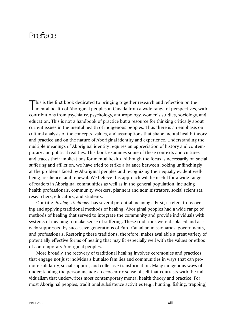## Preface

This is the first book dedicated to bringing together research and reflection on the mental health of Aboriginal peoples in Canada from a wide range of perspectives, with contributions from psychiatry, psychology, anthropology, women's studies, sociology, and education. This is not a handbook of practice but a resource for thinking critically about current issues in the mental health of indigenous peoples. Thus there is an emphasis on cultural analysis of the concepts, values, and assumptions that shape mental health theory and practice and on the nature of Aboriginal identity and experience. Understanding the multiple meanings of Aboriginal identity requires an appreciation of history and contemporary and political realities. This book examines some of these contexts and cultures – and traces their implications for mental health. Although the focus is necessarily on social suffering and affliction, we have tried to strike a balance between looking unflinchingly at the problems faced by Aboriginal peoples and recognizing their equally evident wellbeing, resilience, and renewal. We believe this approach will be useful for a wide range of readers in Aboriginal communities as well as in the general population, including health professionals, community workers, planners and administrators, social scientists, researchers, educators, and students.

 Our title, *Healing Traditions,* has several potential meanings. First, it refers to recovering and applying traditional methods of healing. Aboriginal peoples had a wide range of methods of healing that served to integrate the community and provide individuals with systems of meaning to make sense of suffering. These traditions were displaced and actively suppressed by successive generations of Euro-Canadian missionaries, governments, and professionals. Restoring these traditions, therefore, makes available a great variety of potentially effective forms of healing that may fit especially well with the values or ethos of contemporary Aboriginal peoples.

 More broadly, the recovery of traditional healing involves ceremonies and practices that engage not just individuals but also families and communities in ways that can promote solidarity, social support, and collective transformation. Many indigenous ways of understanding the person include an ecocentric sense of self that contrasts with the individualism that underwrites most contemporary mental health theory and practice. For most Aboriginal peoples, traditional subsistence activities (e.g., hunting, fishing, trapping)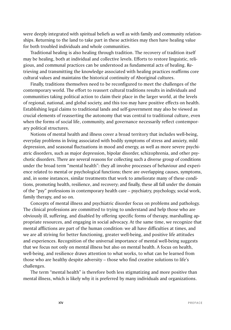were deeply integrated with spiritual beliefs as well as with family and community relationships. Returning to the land to take part in these activities may then have healing value for both troubled individuals and whole communities.

 Traditional healing is also healing through tradition. The recovery of tradition itself may be healing, both at individual and collective levels. Efforts to restore linguistic, religious, and communal practices can be understood as fundamental acts of healing. Retrieving and transmitting the knowledge associated with healing practices reaffirms core cultural values and maintains the historical continuity of Aboriginal cultures.

 Finally, traditions themselves need to be reconfigured to meet the challenges of the contemporary world. The effort to reassert cultural traditions results in individuals and communities taking political action to claim their place in the larger world, at the levels of regional, national, and global society, and this too may have positive effects on health. Establishing legal claims to traditional lands and self-government may also be viewed as crucial elements of reasserting the autonomy that was central to traditional culture, even when the forms of social life, community, and governance necessarily reflect contemporary political structures.

 Notions of mental health and illness cover a broad territory that includes well-being, everyday problems in living associated with bodily symptoms of stress and anxiety, mild depression, and seasonal fluctuations in mood and energy, as well as more severe psychiatric disorders, such as major depression, bipolar disorder, schizophrenia, and other psychotic disorders. There are several reasons for collecting such a diverse group of conditions under the broad term "mental health": they all involve processes of behaviour and experience related to mental or psychological functions; there are overlapping causes, symptoms, and, in some instances, similar treatments that work to ameliorate many of these conditions, promoting health, resilience, and recovery; and finally, these all fall under the domain of the "psy" professions in contemporary health care – psychiatry, psychology, social work, family therapy, and so on.

 Concepts of mental illness and psychiatric disorder focus on problems and pathology. The clinical professions are committed to trying to understand and help those who are obviously ill, suffering, and disabled by offering specific forms of therapy, marshalling appropriate resources, and engaging in social advocacy. At the same time, we recognize that mental afflictions are part of the human condition: we all have difficulties at times, and we are all striving for better functioning, greater well-being, and positive life attitudes and experiences. Recognition of the universal importance of mental well-being suggests that we focus not only on mental illness but also on mental health. A focus on health, well-being, and resilience draws attention to what works, to what can be learned from those who are healthy despite adversity – those who find creative solutions to life's challenges.

 The term "mental health" is therefore both less stigmatizing and more positive than mental illness, which is likely why it is preferred by many individuals and organizations.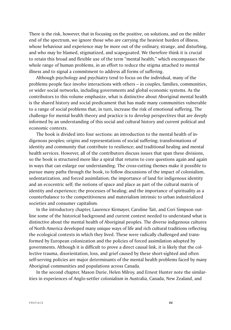There is the risk, however, that in focusing on the positive, on solutions, and on the milder end of the spectrum, we ignore those who are carrying the heaviest burden of illness, whose behaviour and experience may be more out of the ordinary, strange, and disturbing, and who may be blamed, stigmatized, and scapegoated. We therefore think it is crucial to retain this broad and flexible use of the term "mental health," which encompasses the whole range of human problems, in an effort to reduce the stigma attached to mental illness and to signal a commitment to address all forms of suffering.

 Although psychology and psychiatry tend to focus on the individual, many of the problems people face involve interactions with others – in couples, families, communities, or wider social networks, including governments and global economic systems. As the contributors to this volume emphasize, what is distinctive about Aboriginal mental health is the shared history and social predicament that has made many communities vulnerable to a range of social problems that, in turn, increase the risk of emotional suffering. The challenge for mental health theory and practice is to develop perspectives that are deeply informed by an understanding of this social and cultural history and current political and economic contexts.

 The book is divided into four sections: an introduction to the mental health of indigenous peoples; origins and representations of social suffering; transformations of identity and community that contribute to resilience; and traditional healing and mental health services. However, all of the contributors discuss issues that span these divisions, so the book is structured more like a spiral that returns to core questions again and again in ways that can enlarge our understanding. The cross-cutting themes make it possible to pursue many paths through the book, to follow discussions of the impact of colonialism, sedentarization, and forced assimilation; the importance of land for indigenous identity and an ecocentric self; the notions of space and place as part of the cultural matrix of identity and experience; the processes of healing; and the importance of spirituality as a counterbalance to the competitiveness and materialism intrinsic to urban industrialized societies and consumer capitalism.

 In the introductory chapter, Laurence Kirmayer, Caroline Tait, and Cori Simpson outline some of the historical background and current context needed to understand what is distinctive about the mental health of Aboriginal peoples. The diverse indigenous cultures of North America developed many unique ways of life and rich cultural traditions reflecting the ecological contexts in which they lived. These were radically challenged and transformed by European colonization and the policies of forced assimilation adopted by governments. Although it is difficult to prove a direct causal link, it is likely that the collective trauma, disorientation, loss, and grief caused by these short-sighted and often self-serving policies are major determinants of the mental health problems faced by many Aboriginal communities and populations across Canada.

 In the second chapter, Mason Durie, Helen Milroy, and Ernest Hunter note the similarities in experiences of Anglo-settler colonialism in Australia, Canada, New Zealand, and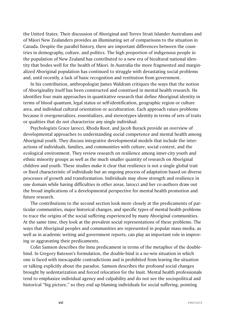the United States. Their discussion of Aboriginal and Torres Strait Islander Australians and of Mäori New Zealanders provides an illuminating set of comparisons to the situation in Canada. Despite the parallel history, there are important differences between the countries in demography, culture, and politics. The high proportion of indigenous people in the population of New Zealand has contributed to a new era of bicultural national identity that bodes well for the health of Mäori. In Australia the more fragmented and marginalized Aboriginal population has continued to struggle with devastating social problems and, until recently, a lack of basic recognition and restitution from government.

 In his contribution, anthropologist James Waldram critiques the ways that the notion of Aboriginality itself has been constructed and construed in mental health research. He identifies four main approaches in quantitative research that define Aboriginal identity in terms of blood quantum, legal status or self-identification, geographic region or culture area, and individual cultural orientation or acculturation. Each approach raises problems because it overgeneralizes, essentializes, and stereotypes identity in terms of sets of traits or qualities that do not characterize any single individual.

 Psychologists Grace Iarocci, Rhoda Root, and Jacob Burack provide an overview of developmental approaches to understanding social competence and mental health among Aboriginal youth. They discuss integrative developmental models that include the interactions of individuals, families, and communities with culture, social context, and the ecological environment. They review research on resilience among inner-city youth and ethnic minority groups as well as the much smaller quantity of research on Aboriginal children and youth. These studies make it clear that resilience is not a single global trait or fixed characteristic of individuals but an ongoing process of adaptation based on diverse processes of growth and transformation. Individuals may show strength and resilience in one domain while having difficulties in other areas. Iarocci and her co-authors draw out the broad implications of a developmental perspective for mental health promotion and future research.

 The contributions to the second section look more closely at the predicaments of particular communities, major historical changes, and specific types of mental health problems to trace the origins of the social suffering experienced by many Aboriginal communities. At the same time, they look at the prevalent social representations of these problems. The ways that Aboriginal peoples and communities are represented in popular mass media, as well as in academic writing and government reports, can play an important role in improving or aggravating their predicaments.

 Colin Samson describes the Innu predicament in terms of the metaphor of the doublebind. In Gregory Bateson's formulation, the double-bind is a no-win situation in which one is faced with inescapable contradictions and is prohibited from leaving the situation or talking explicitly about the paradox. Samson describes the profound social changes brought by sedentarization and forced relocation for the Inuit. Mental health professionals tend to emphasize individual agency and culpability and do not see the sociopolitical and historical "big picture," so they end up blaming individuals for social suffering, pointing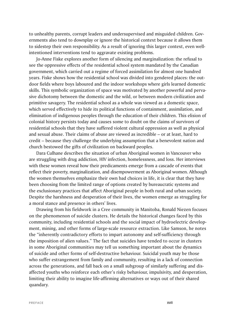to unhealthy parents, corrupt leaders and undersupervised and misguided children. Governments also tend to downplay or ignore the historical context because it allows them to sidestep their own responsibility. As a result of ignoring this larger context, even wellintentioned interventions tend to aggravate existing problems.

 Jo-Anne Fiske explores another form of silencing and marginalization: the refusal to see the oppressive effects of the residential school system mandated by the Canadian government, which carried out a regime of forced assimilation for almost one hundred years. Fiske shows how the residential school was divided into gendered places: the outdoor fields where boys laboured and the indoor workshops where girls learned domestic skills. This symbolic organization of space was motivated by another powerful and pervasive dichotomy between the domestic and the wild, or between modern civilization and primitive savagery. The residential school as a whole was viewed as a domestic space, which served effectively to hide its political functions of containment, assimilation, and elimination of indigenous peoples through the education of their children. This elision of colonial history persists today and causes some to doubt on the claims of survivors of residential schools that they have suffered violent cultural oppression as well as physical and sexual abuse. Their claims of abuse are viewed as incredible – or at least, hard to credit – because they challenge the underlying assumption that a benevolent nation and church bestowed the gifts of civilization on backward peoples.

 Dara Culhane describes the situation of urban Aboriginal women in Vancouver who are struggling with drug addiction, HIV infection, homelessness, and loss. Her interviews with these women reveal how their predicaments emerge from a cascade of events that reflect their poverty, marginalization, and disempowerment as Aboriginal women. Although the women themselves emphasize their own bad choices in life, it is clear that they have been choosing from the limited range of options created by bureaucratic systems and the exclusionary practices that affect Aboriginal people in both rural and urban society. Despite the harshness and desperation of their lives, the women emerge as struggling for a moral stance and presence in others' lives.

 Drawing from his fieldwork in a Cree community in Manitoba, Ronald Niezen focuses on the phenomenon of suicide clusters. He details the historical changes faced by this community, including residential schools and the social impact of hydroelectric development, mining, and other forms of large-scale resource extraction. Like Samson, he notes the "inherently contradictory efforts to impart autonomy and self-sufficiency through the imposition of alien values." The fact that suicides have tended to occur in clusters in some Aboriginal communities may tell us something important about the dynamics of suicide and other forms of self-destructive behaviour. Suicidal youth may be those who suffer estrangement from family and community, resulting in a lack of connection across the generations, and fall back on a small subgroup of similarly suffering and disaffected youths who reinforce each other's risky behaviour, impulsivity, and desperation, limiting their ability to imagine life-affirming alternatives or ways out of their shared quandary.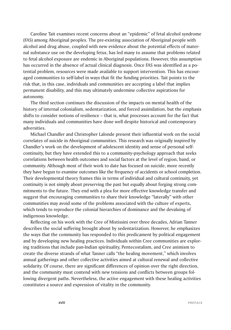Caroline Tait examines recent concerns about an "epidemic" of fetal alcohol syndrome (FAS) among Aboriginal peoples. The pre-existing association of Aboriginal people with alcohol and drug abuse, coupled with new evidence about the potential effects of maternal substance use on the developing fetus, has led many to assume that problems related to fetal alcohol exposure are endemic in Aboriginal populations. However, this assumption has occurred in the absence of actual clinical diagnosis. Once FAS was identified as a potential problem, resources were made available to support intervention. This has encouraged communities to self-label in ways that fit the funding priorities. Tait points to the risk that, in this case, individuals and communities are accepting a label that implies permanent disability, and this may ultimately undermine collective aspirations for autonomy.

 The third section continues the discussion of the impacts on mental health of the history of internal colonialism, sedentarization, and forced assimilation, but the emphasis shifts to consider notions of resilience – that is, what processes account for the fact that many individuals and communities have done well despite historical and contemporary adversities.

 Michael Chandler and Christopher Lalonde present their influential work on the social correlates of suicide in Aboriginal communities. This research was originally inspired by Chandler's work on the development of adolescent identity and sense of personal selfcontinuity, but they have extended this to a community-psychology approach that seeks correlations between health outcomes and social factors at the level of region, band, or community. Although most of their work to date has focused on suicide, more recently they have begun to examine outcomes like the frequency of accidents or school completion. Their developmental theory frames this in terms of individual and cultural continuity, yet continuity is not simply about preserving the past but equally about forging strong commitments to the future. They end with a plea for more effective knowledge transfer and suggest that encouraging communities to share their knowledge "laterally" with other communities may avoid some of the problems associated with the culture of experts, which tends to reproduce the colonial hierarchies of dominance and the devaluing of indigenous knowledge.

 Reflecting on his work with the Cree of Mistissini over three decades, Adrian Tanner describes the social suffering brought about by sedentarization. However, he emphasizes the ways that the community has responded to this predicament by political engagement and by developing new healing practices. Individuals within Cree communities are exploring traditions that include pan-Indian spirituality, Pentecostalism, and Cree animism to create the diverse strands of what Tanner calls "the healing movement," which involves annual gatherings and other collective activities aimed at cultural renewal and collective solidarity. Of course, there are significant differences of opinion over the right direction, and the community must contend with new tensions and conflicts between groups following divergent paths. Nevertheless, the active engagement with these healing activities constitutes a source and expression of vitality in the community.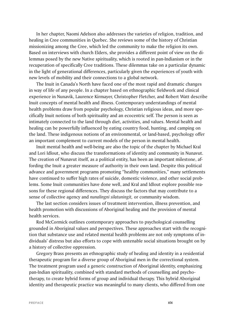In her chapter, Naomi Adelson also addresses the varieties of religion, tradition, and healing in Cree communities in Quebec. She reviews some of the history of Christian missionizing among the Cree, which led the community to make the religion its own. Based on interviews with church Elders, she provides a different point of view on the dilemmas posed by the new Native spirituality, which is rooted in pan-Indianism or in the recuperation of specifically Cree traditions. These dilemmas take on a particular dynamic in the light of generational differences, particularly given the experiences of youth with new levels of mobility and their connections to a global network.

 The Inuit in Canada's North have faced one of the most rapid and dramatic changes in way of life of any people. In a chapter based on ethnographic fieldwork and clinical experience in Nunavik, Laurence Kirmayer, Christopher Fletcher, and Robert Watt describe Inuit concepts of mental health and illness. Contemporary understandings of mental health problems draw from popular psychology, Christian religious ideas, and more specifically Inuit notions of both spirituality and an ecocentric self. The person is seen as intimately connected to the land through diet, activities, and values. Mental health and healing can be powerfully influenced by eating country food, hunting, and camping on the land. These indigenous notions of an environmental, or land-based, psychology offer an important complement to current models of the person in mental health.

 Inuit mental health and well-being are also the topic of the chapter by Michael Kral and Lori Idlout, who discuss the transformations of identity and community in Nunavut. The creation of Nunavut itself, as a political entity, has been an important milestone, affording the Inuit a greater measure of authority in their own land. Despite this political advance and government programs promoting "healthy communities," many settlements have continued to suffer high rates of suicide, domestic violence, and other social problems. Some Inuit communities have done well, and Kral and Idlout explore possible reasons for these regional differences. They discuss the factors that may contribute to a sense of collective agency and *nunalingni silatuningit,* or community wisdom.

 The last section considers issues of treatment intervention, illness prevention, and health promotion with discussions of Aboriginal healing and the provision of mental health services.

 Rod McCormick outlines contemporary approaches to psychological counselling grounded in Aboriginal values and perspectives. These approaches start with the recognition that substance use and related mental health problems are not only symptoms of individuals' distress but also efforts to cope with untenable social situations brought on by a history of collective oppression.

 Gregory Brass presents an ethnographic study of healing and identity in a residential therapeutic program for a diverse group of Aboriginal men in the correctional system. The treatment program used a generic construction of Aboriginal identity, emphasizing pan-Indian spirituality, combined with standard methods of counselling and psychotherapy, to create hybrid forms of group and individual therapy. This hybrid Aboriginal identity and therapeutic practice was meaningful to many clients, who differed from one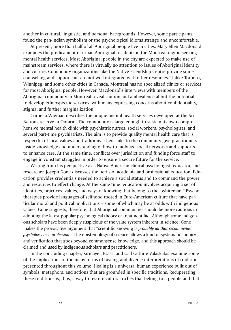another in cultural, linguistic, and personal backgrounds. However, some participants found the pan-Indian symbolism or the psychological idioms strange and uncomfortable.

 At present, more than half of all Aboriginal people live in cities. Mary Ellen Macdonald examines the predicament of urban Aboriginal residents in the Montreal region seeking mental health services. Most Aboriginal people in the city are expected to make use of mainstream services, where there is virtually no attention to issues of Aboriginal identity and culture. Community organizations like the Native Friendship Centre provide some counselling and support but are not well integrated with other resources. Unlike Toronto, Winnipeg, and some other cities in Canada, Montreal has no specialized clinics or services for most Aboriginal people. However, Macdonald's interviews with members of the Aboriginal community in Montreal reveal caution and ambivalence about the potential to develop ethnospecific services, with many expressing concerns about confidentiality, stigma, and further marginalization.

 Cornelia Wieman describes the unique mental health services developed at the Six Nations reserve in Ontario. The community is large enough to sustain its own comprehensive mental health clinic with psychiatric nurses, social workers, psychologists, and several part-time psychiatrists. The aim is to provide quality mental health care that is respectful of local values and traditions. Their links to the community give practitioners inside knowledge and understanding of how to mobilize social networks and supports to enhance care. At the same time, conflicts over jurisdiction and funding force staff to engage in constant struggles in order to ensure a secure future for the service.

 Writing from his perspective as a Native American clinical psychologist, educator, and researcher, Joseph Gone discusses the perils of academia and professional education. Education provides credentials needed to achieve a social status and to command the power and resources to effect change. At the same time, education involves acquiring a set of identities, practices, values, and ways of knowing that belong to the "whiteman." Psychotherapies provide languages of selfhood rooted in Euro-American culture that have particular moral and political implications – some of which may be at odds with indigenous values. Gone suggests, therefore, that Aboriginal communities should be more cautious in adopting the latest popular psychological theory or treatment fad. Although some indigenous scholars have been deeply suspicious of the value system inherent in science, Gone makes the provocative argument that "scientific knowing is *probably all that recommends psychology as a profession*." The epistemology of science allows a kind of systematic inquiry and verification that goes beyond commonsense knowledge, and this approach should be claimed and used by indigenous scholars and practitioners.

 In the concluding chapter, Kirmayer, Brass, and Gail Guthrie Valaskakis examine some of the implications of the many forms of healing and diverse interpretations of tradition presented throughout this volume. Healing is a universal human experience built out of symbols, metaphors, and actions that are grounded in specific traditions. Recuperating these traditions is, thus, a way to restore cultural riches that belong to a people and that,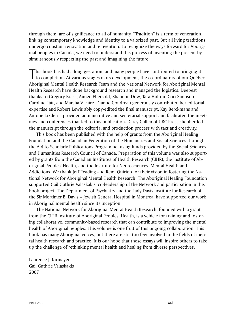through them, are of significance to all of humanity. "Tradition" is a term of veneration, linking contemporary knowledge and identity to a valorized past. But all living traditions undergo constant renovation and reinvention. To recognize the ways forward for Aboriginal peoples in Canada, we need to understand this process of inventing the present by simultaneously respecting the past and imagining the future.

This book has had a long gestation, and many people have contributed to bringing it to completion. At various stages in its development, the co-ordinators of our Québec Aboriginal Mental Health Research Team and the National Network for Aboriginal Mental Health Research have done background research and managed the logistics. Deepest thanks to Gregory Brass, Aimee Ebersold, Shannon Dow, Tara Holton, Cori Simpson, Caroline Tait, and Marsha Vicaire. Dianne Goudreau generously contributed her editorial expertise and Robert Lewis ably copy-edited the final manuscript. Kay Berckmans and Antonella Clerici provided administrative and secretarial support and facilitated the meetings and conferences that led to this publication. Darcy Cullen of UBC Press shepherded the manuscript through the editorial and production process with tact and creativity.

 This book has been published with the help of grants from the Aboriginal Healing Foundation and the Canadian Federation of the Humanities and Social Sciences, through the Aid to Scholarly Publications Programme, using funds provided by the Social Sciences and Humanities Research Council of Canada. Preparation of this volume was also supported by grants from the Canadian Institutes of Health Research (CIHR), the Institute of Aboriginal Peoples' Health, and the Institute for Neurosciences, Mental Health and Addictions. We thank Jeff Reading and Remi Quirion for their vision in fostering the National Network for Aboriginal Mental Health Research. The Aboriginal Healing Foundation supported Gail Guthrie Valaskakis' co-leadership of the Network and participation in this book project. The Department of Psychiatry and the Lady Davis Institute for Research of the Sir Mortimer B. Davis – Jewish General Hospital in Montreal have supported our work in Aboriginal mental health since its inception.

 The National Network for Aboriginal Mental Health Research, founded with a grant from the CIHR Institute of Aboriginal Peoples' Health, is a vehicle for training and fostering collaborative, community-based research that can contribute to improving the mental health of Aboriginal peoples. This volume is one fruit of this ongoing collaboration. This book has many Aboriginal voices, but there are still too few involved in the fields of mental health research and practice. It is our hope that these essays will inspire others to take up the challenge of rethinking mental health and healing from diverse perspectives.

Laurence J. Kirmayer Gail Guthrie Valaskakis 2007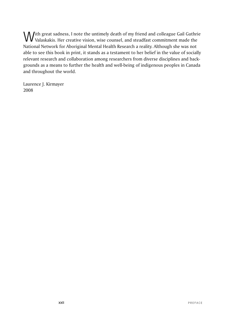With great sadness, I note the untimely death of my friend and colleague Gail Guthrie Valaskakis. Her creative vision, wise counsel, and steadfast commitment made the National Network for Aboriginal Mental Health Research a reality. Although she was not able to see this book in print, it stands as a testament to her belief in the value of socially relevant research and collaboration among researchers from diverse disciplines and backgrounds as a means to further the health and well-being of indigenous peoples in Canada and throughout the world.

Laurence J. Kirmayer 2008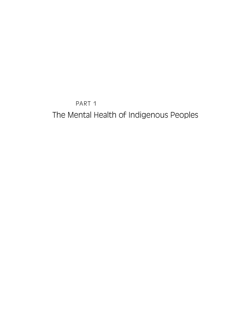PART 1 The Mental Health of Indigenous Peoples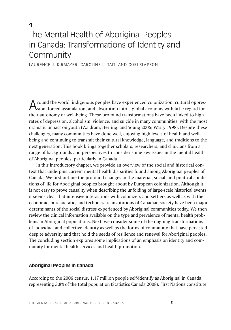# 1 The Mental Health of Aboriginal Peoples in Canada: Transformations of Identity and **Community**

LAURENCE J. KIRMAYER, CAROLINE L. TAIT, AND CORI SIMPSON

A round the world, indigenous peoples have experienced colonization, cultural oppres-<br>
Sion forced assimilation and dividends sion, forced assimilation, and absorption into a global economy with little regard for their autonomy or well-being. These profound transformations have been linked to high rates of depression, alcoholism, violence, and suicide in many communities, with the most dramatic impact on youth (Waldram, Herring, and Young 2006; Warry 1998). Despite these challenges, many communities have done well, enjoying high levels of health and wellbeing and continuing to transmit their cultural knowledge, language, and traditions to the next generation. This book brings together scholars, researchers, and clinicians from a range of backgrounds and perspectives to consider some key issues in the mental health of Aboriginal peoples, particularly in Canada.

 In this introductory chapter, we provide an overview of the social and historical context that underpins current mental health disparities found among Aboriginal peoples of Canada. We first outline the profound changes in the material, social, and political conditions of life for Aboriginal peoples brought about by European colonization. Although it is not easy to prove causality when describing the unfolding of large-scale historical events, it seems clear that intensive interactions with colonizers and settlers as well as with the economic, bureaucratic, and technocratic institutions of Canadian society have been major determinants of the social distress experienced by Aboriginal communities today. We then review the clinical information available on the type and prevalence of mental health problems in Aboriginal populations. Next, we consider some of the ongoing transformations of individual and collective identity as well as the forms of community that have persisted despite adversity and that hold the seeds of resilience and renewal for Aboriginal peoples. The concluding section explores some implications of an emphasis on identity and community for mental health services and health promotion.

### **Aboriginal Peoples in Canada**

According to the 2006 census, 1.17 million people self-identify as Aboriginal in Canada, representing 3.8% of the total population (Statistics Canada 2008). First Nations constitute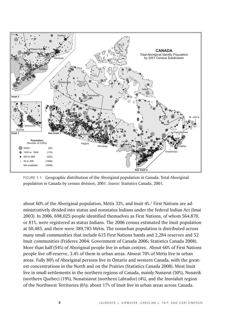

FIGURE 1.1 Geographic distribution of the Aboriginal population in Canada. Total Aboriginal population in Canada by census division, 2001. *Source:* Statistics Canada, 2001.

about 60% of the Aboriginal population, Métis 33%, and Inuit 4%.1 First Nations are administratively divided into status and nonstatus Indians under the federal Indian Act (Imai 2003). In 2006, 698,025 people identified themselves as First Nations, of whom 564,870, or 81%, were registered as status Indians. The 2006 census estimated the Inuit population at 50,485, and there were 389,785 Métis. The nonurban population is distributed across many small communities that include 615 First Nations bands and 2,284 reserves and 52 Inuit communities (Frideres 2004; Government of Canada 2006; Statistics Canada 2008). More than half (54%) of Aboriginal people live in urban centres. About 60% of First Nations people live off-reserve, 3.4% of them in urban areas. Almost 70% of Métis live in urban areas. Fully 80% of Aboriginal persons live in Ontario and western Canada, with the greatest concentrations in the North and on the Prairies (Statistics Canada 2008). Most Inuit live in small settlements in the northern regions of Canada, mainly Nunavut (50%), Nunavik (northern Quebec) (19%), Nunatsiavut (northern Labrador) (4%), and the Inuvialuit region of the Northwest Territories (6%); about 17% of Inuit live in urban areas across Canada.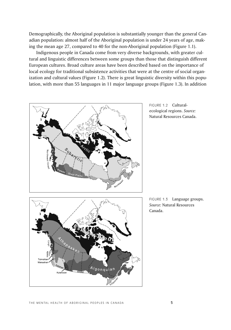Demographically, the Aboriginal population is substantially younger than the general Canadian population: almost half of the Aboriginal population is under 24 years of age, making the mean age 27, compared to 40 for the non-Aboriginal population (Figure 1.1).

 Indigenous people in Canada come from very diverse backgrounds, with greater cultural and linguistic differences between some groups than those that distinguish different European cultures. Broad culture areas have been described based on the importance of local ecology for traditional subsistence activities that were at the centre of social organization and cultural values (Figure 1.2). There is great linguistic diversity within this population, with more than 55 languages in 11 major language groups (Figure 1.3). In addition







FIGURE 1.3 Language groups. *Source:* Natural Resources Canada.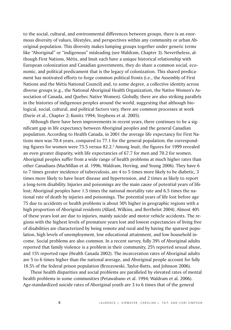to the social, cultural, and environmental differences between groups, there is an enormous diversity of values, lifestyles, and perspectives within any community or urban Aboriginal population. This diversity makes lumping groups together under generic terms like "Aboriginal" or "indigenous" misleading (see Waldram, Chapter 3). Nevertheless, although First Nations, Métis, and Inuit each have a unique historical relationship with European colonization and Canadian governments, they do share a common social, economic, and political predicament that is the legacy of colonization. This shared predicament has motivated efforts to forge common political fronts (i.e., the Assembly of First Nations and the Métis National Council) and, to some degree, a collective identity across diverse groups (e.g., the National Aboriginal Health Organization, the Native Women's Association of Canada, and Quebec Native Women). Globally, there are also striking parallels in the histories of indigenous peoples around the world, suggesting that although biological, social, cultural, and political factors vary, there are common processes at work (Durie et al., Chapter 2; Kunitz 1994; Stephens et al. 2005).

 Although there have been improvements in recent years, there continues to be a significant gap in life expectancy between Aboriginal peoples and the general Canadian population. According to Health Canada, in 2001 the average life expectancy for First Nations men was 70.4 years, compared to 77.1 for the general population; the corresponding figures for women were 75.5 versus 82.2**.** <sup>2</sup> Among Inuit, the figures for 1999 revealed an even greater disparity, with life expectancies of 67.7 for men and 70.2 for women. Aboriginal peoples suffer from a wide range of health problems at much higher rates than other Canadians (MacMillan et al. 1996; Waldram, Herring, and Young 2006). They have 6 to 7 times greater incidence of tuberculosis, are 4 to 5 times more likely to be diabetic, 3 times more likely to have heart disease and hypertension, and 2 times as likely to report a long-term disability. Injuries and poisonings are the main cause of potential years of life lost; Aboriginal peoples have 1.5 times the national mortality rate and 6.5 times the national rate of death by injuries and poisonings. The potential years of life lost before age 75 due to accidents or health problems is about 50% higher in geographic regions with a high proportion of Aboriginal residents (Allard, Wilkins, and Berthelot 2004). Almost 40% of these years lost are due to injuries, mainly suicide and motor vehicle accidents. The regions with the highest levels of premature years lost and lowest expectancies of living free of disabilities are characterized by being remote and rural and by having the sparsest population, high levels of unemployment, low educational attainment, and low household income. Social problems are also common. In a recent survey, fully 39% of Aboriginal adults reported that family violence is a problem in their community, 25% reported sexual abuse, and 15% reported rape (Health Canada 2002). The incarceration rates of Aboriginal adults are 5 to 6 times higher than the national average, and Aboriginal people account for fully 18.5% of the federal prison population (Brzozowski, Taylor-Butts, and Johnson 2006).

 These health disparities and social problems are paralleled by elevated rates of mental health problems in some communities (Petawabano et al. 1994; Waldram et al. 2006). Age-standardized suicide rates of Aboriginal youth are 3 to 6 times that of the general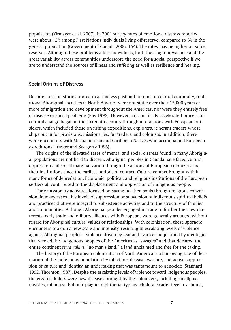population (Kirmayer et al. 2007). In 2001 survey rates of emotional distress reported were about 13% among First Nations individuals living off-reserve, compared to 8% in the general population (Government of Canada 2006, 164). The rates may be higher on some reserves. Although these problems affect individuals, both their high prevalence and the great variability across communities underscore the need for a social perspective if we are to understand the sources of illness and suffering as well as resilience and healing.

### **Social Origins of Distress**

Despite creation stories rooted in a timeless past and notions of cultural continuity, traditional Aboriginal societies in North America were not static over their 15,000 years or more of migration and development throughout the Americas, nor were they entirely free of disease or social problems (Ray 1996). However, a dramatically accelerated process of cultural change began in the sixteenth century through interactions with European outsiders, which included those on fishing expeditions, explorers, itinerant traders whose ships put in for provisions, missionaries, fur traders, and colonists. In addition, there were encounters with Mesoamerican and Caribbean Natives who accompanied European expeditions (Trigger and Swagerty 1996).

 The origins of the elevated rates of mental and social distress found in many Aboriginal populations are not hard to discern. Aboriginal peoples in Canada have faced cultural oppression and social marginalization through the actions of European colonizers and their institutions since the earliest periods of contact. Culture contact brought with it many forms of depredation. Economic, political, and religious institutions of the European settlers all contributed to the displacement and oppression of indigenous people.

 Early missionary activities focused on saving heathen souls through religious conversion. In many cases, this involved suppression or subversion of indigenous spiritual beliefs and practices that were integral to subsistence activities and to the structure of families and communities. Although Aboriginal peoples engaged in trade to further their own interests, early trade and military alliances with Europeans were generally arranged without regard for Aboriginal cultural values or relationships. With colonization, these sporadic encounters took on a new scale and intensity, resulting in escalating levels of violence against Aboriginal peoples – violence driven by fear and avarice and justified by ideologies that viewed the indigenous peoples of the Americas as "savages" and that declared the entire continent *terra nullius,* "no man's land," a land unclaimed and free for the taking.

 The history of the European colonization of North America is a harrowing tale of decimation of the indigenous population by infectious disease, warfare, and active suppression of culture and identity, an undertaking that was tantamount to genocide (Stannard 1992; Thornton 1987). Despite the escalating levels of violence toward indigenous peoples, the greatest killers were new diseases brought by the colonizers, including smallpox, measles, influenza, bubonic plague, diphtheria, typhus, cholera, scarlet fever, trachoma,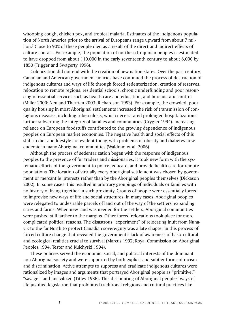whooping cough, chicken pox, and tropical malaria. Estimates of the indigenous population of North America prior to the arrival of Europeans range upward from about 7 million.3 Close to 90% of these people died as a result of the direct and indirect effects of culture contact. For example, the population of northern Iroquoian peoples is estimated to have dropped from about 110,000 in the early seventeenth century to about 8,000 by 1850 (Trigger and Swagerty 1996).

 Colonization did not end with the creation of new nation-states. Over the past century, Canadian and American government policies have continued the process of destruction of indigenous cultures and ways of life through forced sedenterization, creation of reserves, relocation to remote regions, residential schools, chronic underfunding and poor resourcing of essential services such as health care and education, and bureaucratic control (Miller 2000; Neu and Therrien 2003; Richardson 1993). For example, the crowded, poorquality housing in most Aboriginal settlements increased the risk of transmission of contagious diseases, including tuberculosis, which necessitated prolonged hospitalizations, further subverting the integrity of families and communities (Grygier 1994). Increasing reliance on European foodstuffs contributed to the growing dependence of indigenous peoples on European market economies. The negative health and social effects of this shift in diet and lifestyle are evident today, with problems of obesity and diabetes now endemic in many Aboriginal communities (Waldram et al. 2006).

 Although the process of sedentarization began with the response of indigenous peoples to the presence of fur traders and missionaries, it took new form with the systematic efforts of the government to police, educate, and provide health care for remote populations. The location of virtually every Aboriginal settlement was chosen by government or mercantile interests rather than by the Aboriginal peoples themselves (Dickason 2002). In some cases, this resulted in arbitrary groupings of individuals or families with no history of living together in such proximity. Groups of people were essentially forced to improvise new ways of life and social structures. In many cases, Aboriginal peoples were relegated to undesirable parcels of land out of the way of the settlers' expanding cities and farms. When new land was needed for the settlers, Aboriginal communities were pushed still farther to the margins. Other forced relocations took place for more complicated political reasons. The disastrous "experiment" of relocating Inuit from Nunavik to the far North to protect Canadian sovereignty was a late chapter in this process of forced culture change that revealed the government's lack of awareness of basic cultural and ecological realities crucial to survival (Marcus 1992; Royal Commission on Aboriginal Peoples 1994; Tester and Kulchyski 1994).

 These policies served the economic, social, and political interests of the dominant non-Aboriginal society and were supported by both explicit and subtler forms of racism and discrimination. Active attempts to suppress and eradicate indigenous cultures were rationalized by images and arguments that portrayed Aboriginal people as "primitive," "savage," and uncivilized (Titley 1986). This discounting of Aboriginal peoples' ways of life justified legislation that prohibited traditional religious and cultural practices like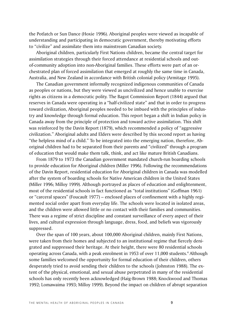the Potlatch or Sun Dance (Hoxie 1996). Aboriginal peoples were viewed as incapable of understanding and participating in democratic government, thereby motivating efforts to "civilize" and assimilate them into mainstream Canadian society.

 Aboriginal children, particularly First Nations children, became the central target for assimilation strategies through their forced attendance at residential schools and outof-community adoption into non-Aboriginal families. These efforts were part of an orchestrated plan of forced assimilation that emerged at roughly the same time in Canada, Australia, and New Zealand in accordance with British colonial policy (Armitage 1995).

 The Canadian government informally recognized indigenous communities of Canada as peoples or nations, but they were viewed as uncivilized and hence unable to exercise rights as citizens in a democratic polity. The Bagot Commission Report (1844) argued that reserves in Canada were operating in a "half-civilized state" and that in order to progress toward civilization, Aboriginal peoples needed to be imbued with the principles of industry and knowledge through formal education. This report began a shift in Indian policy in Canada away from the principle of protection and toward active assimilation. This shift was reinforced by the Davin Report (1879), which recommended a policy of "aggressive civilization." Aboriginal adults and Elders were described by this second report as having "the helpless mind of a child." To be integrated into the emerging nation, therefore, Aboriginal children had to be separated from their parents and "civilized" through a program of education that would make them talk, think, and act like mature British Canadians.

 From 1879 to 1973 the Canadian government mandated church-run boarding schools to provide education for Aboriginal children (Miller 1996). Following the recommendations of the Davin Report, residential education for Aboriginal children in Canada was modelled after the system of boarding schools for Native American children in the United States (Miller 1996; Milloy 1999). Although portrayed as places of education and enlightenment, most of the residential schools in fact functioned as "total institutions" (Goffman 1961) or "carceral spaces" (Foucault 1977) – enclosed places of confinement with a highly regimented social order apart from everyday life. The schools were located in isolated areas, and the children were allowed little or no contact with their families and communities. There was a regime of strict discipline and constant surveillance of every aspect of their lives, and cultural expression through language, dress, food, and beliefs was vigorously suppressed.

 Over the span of 100 years, about 100,000 Aboriginal children, mainly First Nations, were taken from their homes and subjected to an institutional regime that fiercely denigrated and suppressed their heritage. At their height, there were 80 residential schools operating across Canada, with a peak enrolment in 1953 of over 11,000 students.<sup>4</sup> Although some families welcomed the opportunity for formal education of their children, others desperately tried to avoid sending their children to the schools (Johnston 1988). The extent of the physical, emotional, and sexual abuse perpetrated in many of the residential schools has only recently been acknowledged (Haig-Brown 1988; Knockwood and Thomas 1992; Lomawaima 1993; Milloy 1999). Beyond the impact on children of abrupt separation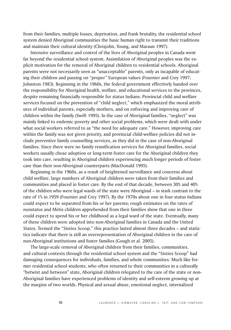from their families, multiple losses, deprivation, and frank brutality, the residential school system denied Aboriginal communities the basic human right to transmit their traditions and maintain their cultural identity (Chrisjohn, Young, and Maraun 1997).

 Intensive surveillance and control of the lives of Aboriginal peoples in Canada went far beyond the residential school system. Assimilation of Aboriginal peoples was the explicit motivation for the removal of Aboriginal children to residential schools. Aboriginal parents were not necessarily seen as "unacceptable" parents, only as incapable of educating their children and passing on "proper" European values (Fournier and Crey 1997; Johnston 1983). Beginning in the 1960s, the federal government effectively handed over the responsibility for Aboriginal health, welfare, and educational services to the provinces, despite remaining financially responsible for status Indians. Provincial child and welfare services focused on the prevention of "child neglect," which emphasized the moral attributes of individual parents, especially mothers, and on enforcing and improving care of children within the family (Swift 1995). In the case of Aboriginal families, "neglect" was mainly linked to endemic poverty and other social problems, which were dealt with under what social workers referred to as "the need for adequate care." However, improving care within the family was not given priority, and provincial child-welfare policies did not include preventive family counselling services, as they did in the case of non-Aboriginal families. Since there were no family reunification services for Aboriginal families, social workers usually chose adoption or long-term foster care for the Aboriginal children they took into care, resulting in Aboriginal children experiencing much longer periods of foster care than their non-Aboriginal counterparts (MacDonald 1995).

 Beginning in the 1960s, as a result of heightened surveillance and concerns about child welfare, large numbers of Aboriginal children were taken from their families and communities and placed in foster care. By the end of that decade, between 30% and 40% of the children who were legal wards of the state were Aboriginal – in stark contrast to the rate of 1% in 1959 (Fournier and Crey 1997). By the 1970s about one in four status Indians could expect to be separated from his or her parents; rough estimates on the rates of nonstatus and Métis children apprehended from their families show that one in three could expect to spend his or her childhood as a legal ward of the state. Eventually, many of these children were adopted into non-Aboriginal families in Canada and the United States. Termed the "Sixties Scoop," this practice lasted almost three decades – and statistics indicate that there is still an overrepresentation of Aboriginal children in the care of non-Aboriginal institutions and foster families (Gough et al. 2005).

 The large-scale removal of Aboriginal children from their families, communities, and cultural contexts through the residential school system and the "Sixties Scoop" had damaging consequences for individuals, families, and whole communities. Much like former residential school students, who often returned to their communities in a culturally "betwixt and between" state, Aboriginal children relegated to the care of the state or non-Aboriginal families have experienced problems of identity and self-esteem growing up at the margins of two worlds. Physical and sexual abuse, emotional neglect, internalized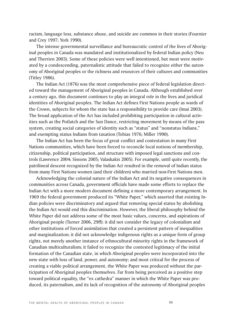racism, language loss, substance abuse, and suicide are common in their stories (Fournier and Crey 1997; York 1990).

 The intense governmental surveillance and bureaucratic control of the lives of Aboriginal peoples in Canada was mandated and institutionalized by federal Indian policy (Neu and Therrien 2003). Some of these policies were well intentioned, but most were motivated by a condescending, paternalistic attitude that failed to recognize either the autonomy of Aboriginal peoples or the richness and resources of their cultures and communities (Titley 1986).

 The Indian Act (1876) was the most comprehensive piece of federal legislation directed toward the management of Aboriginal peoples in Canada. Although established over a century ago, this document continues to play an integral role in the lives and juridical identities of Aboriginal peoples. The Indian Act defines First Nations people as wards of the Crown, subjects for whom the state has a responsibility to provide care (Imai 2003). The broad application of the Act has included prohibiting participation in cultural activities such as the Potlatch and the Sun Dance, restricting movement by means of the pass system, creating social categories of identity such as "status" and "nonstatus Indians," and exempting status Indians from taxation (Tobias 1976; Miller 1990).

 The Indian Act has been the focus of great conflict and contestation in many First Nations communities, which have been forced to reconcile local notions of membership, citizenship, political participation, and structure with imposed legal sanctions and controls (Lawrence 2004; Sissons 2005; Valaskakis 2005). For example, until quite recently, the patrilineal descent recognized by the Indian Act resulted in the removal of Indian status from many First Nations women (and their children) who married non-First Nations men.

 Acknowledging the colonial nature of the Indian Act and its negative consequences in communities across Canada, government officials have made some efforts to replace the Indian Act with a more modern document defining a more contemporary arrangement. In 1969 the federal government produced its "White Paper," which asserted that existing Indian policies were discriminatory and argued that removing special status by abolishing the Indian Act would end this discrimination. However, the liberal philosophy behind the White Paper did not address some of the most basic values, concerns, and aspirations of Aboriginal people (Turner 2006, 29ff): it did not consider the legacy of colonialism and other institutions of forced assimilation that created a persistent pattern of inequalities and marginalization; it did not acknowledge indigenous rights as a unique form of group rights, not merely another instance of ethnocultural minority rights in the framework of Canadian multiculturalism; it failed to recognize the contested legitimacy of the initial formation of the Canadian state, in which Aboriginal peoples were incorporated into the new state with loss of land, power, and autonomy; and most critical for the process of creating a viable political arrangement, the White Paper was produced without the participation of Aboriginal peoples themselves. Far from being perceived as a positive step toward political equality, the "ex cathedra" manner in which the White Paper was produced, its paternalism, and its lack of recognition of the autonomy of Aboriginal peoples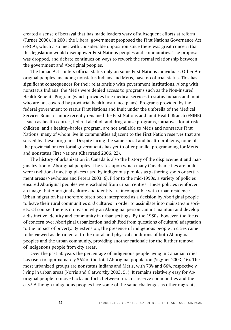created a sense of betrayal that has made leaders wary of subsequent efforts at reform (Turner 2006). In 2001 the Liberal government proposed the First Nations Governance Act (FNGA), which also met with considerable opposition since there was great concern that this legislation would disempower First Nations peoples and communities. The proposal was dropped, and debate continues on ways to rework the formal relationship between the government and Aboriginal peoples.

 The Indian Act confers official status only on some First Nations individuals. Other Aboriginal peoples, including nonstatus Indians and Métis, have no official status. This has significant consequences for their relationship with government institutions. Along with nonstatus Indians, the Métis were denied access to programs such as the Non-Insured Health Benefits Program (which provides free medical services to status Indians and Inuit who are not covered by provincial health-insurance plans). Programs provided by the federal government to status First Nations and Inuit under the umbrella of the Medical Services Branch – more recently renamed the First Nations and Inuit Health Branch (FNIHB) – such as health centres, federal alcohol- and drug-abuse programs, initiatives for at-risk children, and a healthy-babies program, are not available to Métis and nonstatus First Nations, many of whom live in communities adjacent to the First Nation reserves that are served by these programs. Despite facing the same social and health problems, none of the provincial or territorial governments has yet to offer parallel programming for Métis and nonstatus First Nations (Chartrand 2006, 23).

 The history of urbanization in Canada is also the history of the displacement and marginalization of Aboriginal peoples. The sites upon which many Canadian cities are built were traditional meeting places used by indigenous peoples as gathering spots or settlement areas (Newhouse and Peters 2003, 6). Prior to the mid-1990s, a variety of policies ensured Aboriginal peoples were excluded from urban centres. These policies reinforced an image that Aboriginal culture and identity are incompatible with urban residence. Urban migration has therefore often been interpreted as a decision by Aboriginal people to leave their rural communities *and* cultures in order to assimilate into mainstream society. Of course, there is no reason why an Aboriginal person cannot maintain and develop a distinctive identity and community in urban settings. By the 1980s, however, the focus of concern over Aboriginal urbanization had shifted from questions of cultural adaptation to the impact of poverty. By extension, the presence of indigenous people in cities came to be viewed as detrimental to the moral and physical conditions of both Aboriginal peoples and the urban community, providing another rationale for the further removal of indigenous people from city areas.

 Over the past 50 years the percentage of indigenous people living in Canadian cities has risen to approximately 56% of the total Aboriginal population (Siggner 2003, 16). The most urbanized groups are nonstatus Indians and Métis, with 73% and 66%, respectively, living in urban areas (Norris and Clatworthy 2003, 51). It remains relatively easy for Aboriginal people to move back and forth between rural or reserve communities and the city.5 Although indigenous peoples face some of the same challenges as other migrants,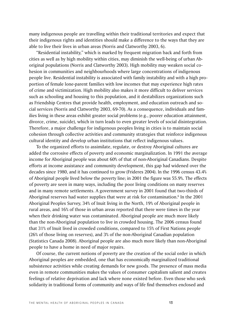many indigenous people are travelling within their traditional territories and expect that their indigenous rights and identities should make a difference to the ways that they are able to live their lives in urban areas (Norris and Clatworthy 2003, 6).

 "Residential instability," which is marked by frequent migration back and forth from cities as well as by high mobility within cities, may diminish the well-being of urban Aboriginal populations (Norris and Clatworthy 2003). High mobility may weaken social cohesion in communities and neighbourhoods where large concentrations of indigenous people live. Residential instability is associated with family instability and with a high proportion of female lone-parent families with low incomes that may experience high rates of crime and victimization. High mobility also makes it more difficult to deliver services such as schooling and housing to this population, and it destabilizes organizations such as Friendship Centres that provide health, employment, and education outreach and social services (Norris and Clatworthy 2003, 69-70). As a consequence, individuals and families living in these areas exhibit greater social problems (e.g., poorer education attainment, divorce, crime, suicide), which in turn leads to even greater levels of social disintegration. Therefore, a major challenge for indigenous peoples living in cities is to maintain social cohesion through collective activities and community strategies that reinforce indigenous cultural identity and develop urban institutions that reflect indigenous values.

 To the organized efforts to assimilate, regulate, or destroy Aboriginal cultures are added the corrosive effects of poverty and economic marginalization. In 1991 the average income for Aboriginal people was about 60% of that of non-Aboriginal Canadians. Despite efforts at income assistance and community development, this gap had widened over the decades since 1980, and it has continued to grow (Frideres 2004). In the 1996 census 43.4% of Aboriginal people lived below the poverty line; in 2001 the figure was 55.9%. The effects of poverty are seen in many ways, including the poor living conditions on many reserves and in many remote settlements. A government survey in 2001 found that two-thirds of Aboriginal reserves had water supplies that were at risk for contamination.<sup>6</sup> In the 2001 Aboriginal Peoples Survey, 34% of Inuit living in the North, 19% of Aboriginal people in rural areas, and 16% of those in urban areas reported that there were times in the year when their drinking water was contaminated. Aboriginal people are much more likely than the non-Aboriginal population to live in crowded housing. The 2006 census found that 31% of Inuit lived in crowded conditions, compared to 15% of First Nations people (26% of those living on reserves), and 3% of the non-Aboriginal Canadian population (Statistics Canada 2008). Aboriginal people are also much more likely than non-Aboriginal people to have a home in need of major repairs.

 Of course, the current notions of poverty are the creation of the social order in which Aboriginal peoples are embedded, one that has economically marginalized traditional subsistence activities while creating demands for new goods. The presence of mass media even in remote communities makes the values of consumer capitalism salient and creates feelings of relative deprivation and lack where none existed before. Even those who seek solidarity in traditional forms of community and ways of life find themselves enclosed and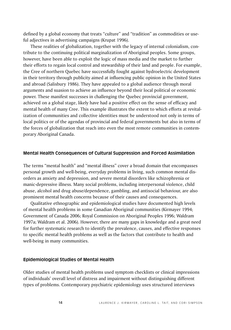defined by a global economy that treats "culture" and "tradition" as commodities or useful adjectives in advertising campaigns (Krupat 1996).

 These realities of globalization, together with the legacy of internal colonialism, contribute to the continuing political marginalization of Aboriginal peoples. Some groups, however, have been able to exploit the logic of mass media and the market to further their efforts to regain local control and stewardship of their land and people. For example, the Cree of northern Quebec have successfully fought against hydroelectric development in their territory through publicity aimed at influencing public opinion in the United States and abroad (Salisbury 1986). They have appealed to a global audience through moral arguments and suasion to achieve an influence beyond their local political or economic power. These manifest successes in challenging the Quebec provincial government, achieved on a global stage, likely have had a positive effect on the sense of efficacy and mental health of many Cree. This example illustrates the extent to which efforts at revitalization of communities and collective identities must be understood not only in terms of local politics or of the agendas of provincial and federal governments but also in terms of the forces of globalization that reach into even the most remote communities in contemporary Aboriginal Canada.

### **Mental Health Consequences of Cultural Suppression and Forced Assimilation**

The terms "mental health" and "mental illness" cover a broad domain that encompasses personal growth and well-being, everyday problems in living, such common mental disorders as anxiety and depression, and severe mental disorders like schizophrenia or manic-depressive illness. Many social problems, including interpersonal violence, child abuse, alcohol and drug abuse/dependence, gambling, and antisocial behaviour, are also prominent mental health concerns because of their causes and consequences.

 Qualitative ethnographic and epidemiological studies have documented high levels of mental health problems in some Canadian Aboriginal communities (Kirmayer 1994; Government of Canada 2006; Royal Commission on Aboriginal Peoples 1996; Waldram 1997a; Waldram et al. 2006). However, there are many gaps in knowledge and a great need for further systematic research to identify the prevalence, causes, and effective responses to specific mental health problems as well as the factors that contribute to health and well-being in many communities.

### **Epidemiological Studies of Mental Health**

Older studies of mental health problems used symptom checklists or clinical impressions of individuals' overall level of distress and impairment without distinguishing different types of problems. Contemporary psychiatric epidemiology uses structured interviews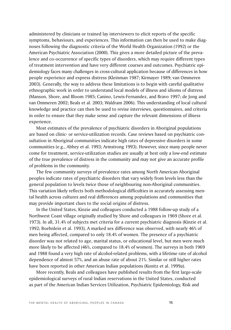administered by clinicians or trained lay interviewers to elicit reports of the specific symptoms, behaviours, and experiences. This information can then be used to make diagnoses following the diagnostic criteria of the World Health Organization (1992) or the American Psychiatric Association (2000). This gives a more detailed picture of the prevalence and co-occurrence of specific types of disorders, which may require different types of treatment intervention and have very different courses and outcomes. Psychiatric epidemiology faces many challenges in cross-cultural application because of differences in how people experience and express distress (Kleinman 1987; Kirmayer 1989; van Ommeren 2003). Generally, the way to address these limitations is to begin with careful qualitative ethnographic work in order to understand local models of illness and idioms of distress (Manson, Shore, and Bloom 1985; Canino, Lewis-Fernandez, and Bravo 1997; de Jong and van Ommeren 2002; Beals et al. 2003; Waldram 2006). This understanding of local cultural knowledge and practice can then be used to revise interviews, questionnaires, and criteria in order to ensure that they make sense and capture the relevant dimensions of illness experience.

 Most estimates of the prevalence of psychiatric disorders in Aboriginal populations are based on clinic- or service-utilization records. Case reviews based on psychiatric consultation in Aboriginal communities indicate high rates of depressive disorders in some communities (e.g., Abbey et al. 1993; Armstrong 1993). However, since many people never come for treatment, service-utilization studies are usually at best only a low-end estimate of the true prevalence of distress in the community and may not give an accurate profile of problems in the community.

 The few community surveys of prevalence rates among North American Aboriginal peoples indicate rates of psychiatric disorders that vary widely from levels less than the general population to levels twice those of neighbouring non-Aboriginal communities. This variation likely reflects both methodological difficulties in accurately assessing mental health across cultures and real differences among populations and communities that may provide important clues to the social origins of distress.

 In the United States, Kinzie and colleagues conducted a 1988 follow-up study of a Northwest Coast village originally studied by Shore and colleagues in 1969 (Shore et al. 1973). In all, 31.4% of subjects met criteria for a current psychiatric diagnosis (Kinzie et al. 1992; Boehnlein et al. 1993). A marked sex difference was observed, with nearly 46% of men being affected, compared to only 18.4% of women. The presence of a psychiatric disorder was not related to age, marital status, or educational level, but men were much more likely to be affected (46%, compared to 18.4% of women). The surveys in both 1969 and 1988 found a very high rate of alcohol-related problems, with a lifetime rate of alcohol dependence of almost 57%, and an abuse rate of about 21%. Similar or still higher rates have been reported in other American Indian populations (Kunitz et al. 1999a).

 More recently, Beals and colleagues have published results from the first large-scale epidemiological surveys of rural Indian reservations in the United States, conducted as part of the American Indian Services Utilization, Psychiatric Epidemiology, Risk and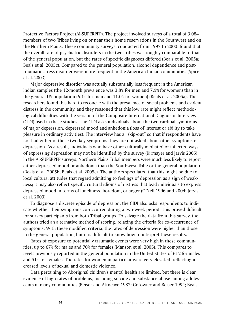Protective Factors Project (AI-SUPERPFP). The project involved surveys of a total of 3,084 members of two Tribes living on or near their home reservations in the Southwest and on the Northern Plains. These community surveys, conducted from 1997 to 2000, found that the overall rate of psychiatric disorders in the two Tribes was roughly comparable to that of the general population, but the rates of specific diagnoses differed (Beals et al. 2005a; Beals et al. 2005c). Compared to the general population, alcohol dependence and posttraumatic stress disorder were more frequent in the American Indian communities (Spicer et al. 2003).

 Major depressive disorder was actually substantially less frequent in the American Indian samples (the 12-month prevalence was 3.8% for men and 7.9% for women) than in the general US population (6.1% for men and 11.0% for women) (Beals et al. 2005a). The researchers found this hard to reconcile with the prevalence of social problems and evident distress in the community, and they reasoned that this low rate might reflect methodological difficulties with the version of the Composite International Diagnostic Interview (CIDI) used in these studies. The CIDI asks individuals about the two cardinal symptoms of major depression: depressed mood and anhedonia (loss of interest or ability to take pleasure in ordinary activities). The interview has a "skip-out" so that if respondents have not had either of these two key symptoms, they are not asked about other symptoms of depression. As a result, individuals who have other culturally mediated or inflected ways of expressing depression may not be identified by the survey (Kirmayer and Jarvis 2005). In the AI-SUPERPFP surveys, Northern Plains Tribal members were much less likely to report either depressed mood or anhedonia than the Southwest Tribe or the general population (Beals et al. 2005b; Beals et al. 2005c). The authors speculated that this might be due to local cultural attitudes that regard admitting to feelings of depression as a sign of weakness; it may also reflect specific cultural idioms of distress that lead individuals to express depressed mood in terms of loneliness, boredom, or anger (O'Nell 1996 and 2004; Jervis et al. 2003).

 To diagnose a discrete episode of depression, the CIDI also asks respondents to indicate whether their symptoms co-occurred during a two-week period. This proved difficult for survey participants from both Tribal groups. To salvage the data from this survey, the authors tried an alternative method of scoring, relaxing the criteria for co-occurrence of symptoms. With these modified criteria, the rates of depression were higher than those in the general population, but it is difficult to know how to interpret these results.

 Rates of exposure to potentially traumatic events were very high in these communities, up to 67% for males and 70% for females (Manson et al. 2005). This compares to levels previously reported in the general population in the United States of 61% for males and 51% for females. The rates for women in particular were very elevated, reflecting increased levels of sexual and domestic violence.

 Data pertaining to Aboriginal children's mental health are limited, but there is clear evidence of high rates of problems, including suicide and substance abuse among adolescents in many communities (Beiser and Attneave 1982; Gotowiec and Beiser 1994; Beals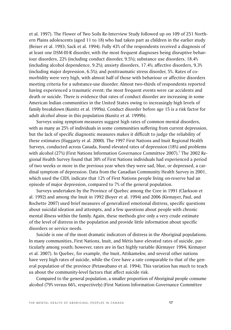et al. 1997). The Flower of Two Soils Re-Interview Study followed up on 109 of 251 Northern Plains adolescents (aged 11 to 18) who had taken part as children in the earlier study (Beiser et al. 1993; Sack et al. 1994). Fully 43% of the respondents received a diagnosis of at least one DSM-III-R disorder, with the most frequent diagnoses being disruptive behaviour disorders, 22% (including conduct disorder, 9.5%); substance use disorders, 18.4% (including alcohol dependence, 9.2%); anxiety disorders, 17.4%; affective disorders, 9.3% (including major depression, 6.5%); and posttraumatic stress disorder, 5%. Rates of comorbidity were very high, with almost half of those with behaviour or affective disorders meeting criteria for a substance-use disorder. Almost two-thirds of respondents reported having experienced a traumatic event; the most frequent events were car accidents and death or suicide. There is evidence that rates of conduct disorder are increasing in some American Indian communities in the United States owing to increasingly high levels of family breakdown (Kunitz et al. 1999a). Conduct disorder before age 15 is a risk factor for adult alcohol abuse in this population (Kunitz et al. 1999b).

 Surveys using symptom measures suggest high rates of common mental disorders, with as many as 25% of individuals in some communities suffering from current depression, but the lack of specific diagnostic measures makes it difficult to judge the reliability of these estimates (Haggarty et al. 2000). The 1997 First Nations and Inuit Regional Health Surveys, conducted across Canada, found elevated rates of depression (18%) and problems with alcohol (27%) (First Nations Information Governance Committee 2007).<sup>7</sup> The 2002 Regional Health Survey found that 30% of First Nations individuals had experienced a period of two weeks or more in the previous year when they were sad, blue, or depressed, a cardinal symptom of depression. Data from the Canadian Community Health Survey in 2001, which used the CIDI, indicate that 12% of First Nations people living on-reserve had an episode of major depression, compared to 7% of the general population.

 Surveys undertaken by the Province of Quebec among the Cree in 1991 (Clarkson et al. 1992) and among the Inuit in 1992 (Boyer et al. 1994) and 2006 (Kirmayer, Paul, and Rochette 2007) used brief measures of generalized emotional distress, specific questions about suicidal ideation and attempts, and a few questions about people with chronic mental illness within the family. Again, these methods give only a very crude estimate of the level of distress in the population and provide little information about specific disorders or service needs.

 Suicide is one of the most dramatic indicators of distress in the Aboriginal populations. In many communities, First Nations, Inuit, and Métis have elevated rates of suicide, particularly among youth; however, rates are in fact highly variable (Kirmayer 1994; Kirmayer et al. 2007). In Quebec, for example, the Inuit, Attikamekw, and several other nations have very high rates of suicide, while the Cree have a rate comparable to that of the general population of the province (Petawabano et al. 1994). This variation has much to teach us about the community-level factors that affect suicide risk.

 Compared to the general population, a smaller proportion of Aboriginal people consume alcohol (79% versus 66%, respectively) (First Nations Information Governance Committee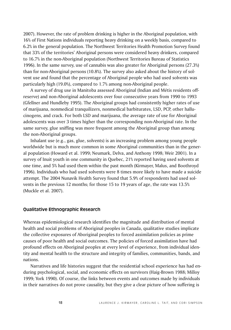2007). However, the rate of problem drinking is higher in the Aboriginal population, with 16% of First Nations individuals reporting heavy drinking on a weekly basis, compared to 6.2% in the general population. The Northwest Territories Health Promotion Survey found that 33% of the territories' Aboriginal persons were considered heavy drinkers, compared to 16.7% in the non-Aboriginal population (Northwest Territories Bureau of Statistics 1996). In the same survey, use of cannabis was also greater for Aboriginal persons (27.3%) than for non-Aboriginal persons (10.8%). The survey also asked about the history of solvent use and found that the percentage of Aboriginal people who had used solvents was particularly high (19.0%), compared to 1.7% among non-Aboriginal people.

 A survey of drug use in Manitoba assessed Aboriginal (Indian and Métis residents offreserve) and non-Aboriginal adolescents over four consecutive years from 1990 to 1993 (Gfellner and Hundleby 1995). The Aboriginal groups had consistently higher rates of use of marijuana, nonmedical tranquilizers, nonmedical barbiturates, LSD, PCP, other hallucinogens, and crack. For both LSD and marijuana, the average rate of use for Aboriginal adolescents was over 3 times higher than the corresponding non-Aboriginal rate. In the same survey, glue sniffing was more frequent among the Aboriginal group than among the non-Aboriginal groups.

 Inhalant use (e.g., gas, glue, solvents) is an increasing problem among young people worldwide but is much more common in some Aboriginal communities than in the general population (Howard et al. 1999; Neumark, Delva, and Anthony 1998; Weir 2001). In a survey of Inuit youth in one community in Quebec, 21% reported having used solvents at one time, and 5% had used them within the past month (Kirmayer, Malus, and Boothroyd 1996). Individuals who had used solvents were 8 times more likely to have made a suicide attempt. The 2004 Nunavik Health Survey found that 5.9% of respondents had used solvents in the previous 12 months; for those 15 to 19 years of age, the rate was 13.5% (Muckle et al. 2007).

### **Qualitative Ethnographic Research**

Whereas epidemiological research identifies the magnitude and distribution of mental health and social problems of Aboriginal peoples in Canada, qualitative studies implicate the collective exposures of Aboriginal peoples to forced assimilation policies as prime causes of poor health and social outcomes. The policies of forced assimilation have had profound effects on Aboriginal peoples at every level of experience, from individual identity and mental health to the structure and integrity of families, communities, bands, and nations.

 Narratives and life histories suggest that the residential school experience has had enduring psychological, social, and economic effects on survivors (Haig-Brown 1988; Milloy 1999; York 1990). Of course, the links between events and outcomes made by individuals in their narratives do not prove causality, but they give a clear picture of how suffering is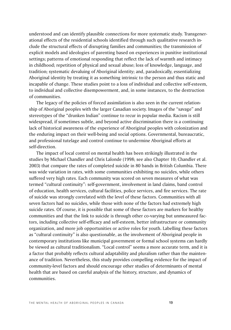understood and can identify plausible connections for more systematic study. Transgenerational effects of the residential schools identified through such qualitative research include the structural effects of disrupting families and communities; the transmission of explicit models and ideologies of parenting based on experiences in punitive institutional settings; patterns of emotional responding that reflect the lack of warmth and intimacy in childhood; repetition of physical and sexual abuse; loss of knowledge, language, and tradition; systematic devaluing of Aboriginal identity; and, paradoxically, essentializing Aboriginal identity by treating it as something intrinsic to the person and thus static and incapable of change. These studies point to a loss of individual and collective self-esteem, to individual and collective disempowerment, and, in some instances, to the destruction of communities.

 The legacy of the policies of forced assimilation is also seen in the current relationship of Aboriginal peoples with the larger Canadian society. Images of the "savage" and stereotypes of the "drunken Indian" continue to recur in popular media. Racism is still widespread, if sometimes subtle, and beyond active discrimination there is a continuing lack of historical awareness of the experience of Aboriginal peoples with colonization and the enduring impact on their well-being and social options. Governmental, bureaucratic, and professional tutelage and control continue to undermine Aboriginal efforts at self-direction.

 The impact of local control on mental health has been strikingly illustrated in the studies by Michael Chandler and Chris Lalonde (1998; see also Chapter 10; Chandler et al. 2003) that compare the rates of completed suicide in 80 bands in British Columbia. There was wide variation in rates, with some communities exhibiting no suicides, while others suffered very high rates. Each community was scored on seven measures of what was termed "cultural continuity": self-government, involvement in land claims, band control of education, health services, cultural facilities, police services, and fire services. The rate of suicide was strongly correlated with the level of these factors. Communities with all seven factors had no suicides, while those with none of the factors had extremely high suicide rates. Of course, it is possible that some of these factors are markers for healthy communities and that the link to suicide is through other co-varying but unmeasured factors, including collective self-efficacy and self-esteem, better infrastructure or community organization, and more job opportunities or active roles for youth. Labelling these factors as "cultural continuity" is also questionable, as the involvement of Aboriginal people in contemporary institutions like municipal government or formal school systems can hardly be viewed as cultural traditionalism. "Local control" seems a more accurate term, and it is a factor that probably reflects cultural adaptability and pluralism rather than the maintenance of tradition. Nevertheless, this study provides compelling evidence for the impact of community-level factors and should encourage other studies of determinants of mental health that are based on careful analysis of the history, structure, and dynamics of communities.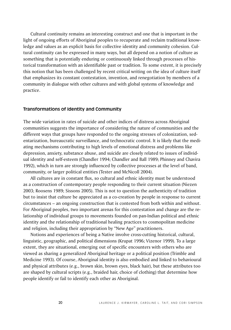Cultural continuity remains an interesting construct and one that is important in the light of ongoing efforts of Aboriginal peoples to recuperate and reclaim traditional knowledge and values as an explicit basis for collective identity and community cohesion. Cultural continuity can be expressed in many ways, but all depend on a notion of culture as something that is potentially enduring or continuously linked through processes of historical transformation with an identifiable past or tradition. To some extent, it is precisely this notion that has been challenged by recent critical writing on the idea of culture itself that emphasizes its constant contestation, invention, and renegotiation by members of a community in dialogue with other cultures and with global systems of knowledge and practice.

### **Transformations of Identity and Community**

The wide variation in rates of suicide and other indices of distress across Aboriginal communities suggests the importance of considering the nature of communities and the different ways that groups have responded to the ongoing stresses of colonization, sedentarization, bureaucratic surveillance, and technocratic control. It is likely that the mediating mechanisms contributing to high levels of emotional distress and problems like depression, anxiety, substance abuse, and suicide are closely related to issues of individual identity and self-esteem (Chandler 1994; Chandler and Ball 1989; Phinney and Chavira 1992), which in turn are strongly influenced by collective processes at the level of band, community, or larger political entities (Tester and McNicoll 2004).

 All cultures are in constant flux, so cultural and ethnic identity must be understood as a construction of contemporary people responding to their current situation (Niezen 2003; Roosens 1989; Sissons 2005). This is not to question the authenticity of tradition but to insist that culture be appreciated as a co-creation by people in response to current circumstances – an ongoing construction that is contested from both within and without. For Aboriginal peoples, two important arenas for this contestation and change are the relationship of individual groups to movements founded on pan-Indian political and ethnic identity and the relationship of traditional healing practices to cosmopolitan medicine and religion, including their appropriation by "New Age" practitioners.

 Notions and experiences of being a Native involve cross-cutting historical, cultural, linguistic, geographic, and political dimensions (Krupat 1996; Vizenor 1999). To a large extent, they are situational, emerging out of specific encounters with others who are viewed as sharing a generalized Aboriginal heritage or a political position (Trimble and Medicine 1993). Of course, Aboriginal identity is also embodied and linked to behavioural and physical attributes (e.g., brown skin, brown eyes, black hair), but these attributes too are shaped by cultural scripts (e.g., braided hair, choice of clothing) that determine how people identify or fail to identify each other as Aboriginal.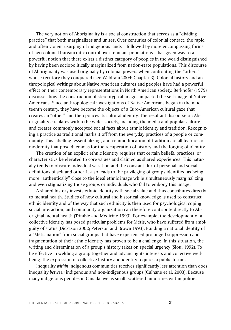The very notion of Aboriginality is a social construction that serves as a "dividing practice" that both marginalizes and unites. Over centuries of colonial contact, the rapid and often violent usurping of indigenous lands – followed by more encompassing forms of neo-colonial bureaucratic control over remnant populations – has given way to a powerful notion that there exists a distinct category of peoples in the world distinguished by having been sociopolitically marginalized from nation-state populations. This discourse of Aboriginality was used originally by colonial powers when confronting the "others" whose territory they conquered (see Waldram 2004; Chapter 3). Colonial history and anthropological writings about Native American cultures and peoples have had a powerful effect on their contemporary representations in North American society. Berkhofer (1979) discusses how the construction of stereotypical images impacted the self-image of Native Americans. Since anthropological investigations of Native Americans began in the nineteenth century, they have become the objects of a Euro-American cultural gaze that creates an "other" and then polices its cultural identity. The resultant discourse on Aboriginality circulates within the wider society, including the media and popular culture, and creates commonly accepted social facts about ethnic identity and tradition. Recognizing a practice as traditional marks it off from the everyday practices of a people or community. This labelling, essentializing, and commodification of tradition are all features of modernity that pose dilemmas for the recuperation of history and the forging of identity.

 The creation of an explicit ethnic identity requires that certain beliefs, practices, or characteristics be elevated to core values and claimed as shared experiences. This naturally tends to obscure individual variation and the constant flux of personal and social definitions of self and other. It also leads to the privileging of groups identified as being more "authentically" close to the ideal ethnic image while simultaneously marginalizing and even stigmatizing those groups or individuals who fail to embody this image.

 A shared history invests ethnic identity with social value and thus contributes directly to mental health. Studies of how cultural and historical knowledge is used to construct ethnic identity and of the way that such ethnicity is then used for psychological coping, social interaction, and community organization can therefore contribute directly to Aboriginal mental health (Trimble and Medicine 1993). For example, the development of a collective identity has posed particular problems for Métis, who have suffered from ambiguity of status (Dickason 2002; Peterson and Brown 1993). Building a national identity of a "Métis nation" from social groups that have experienced prolonged suppression and fragmentation of their ethnic identity has proven to be a challenge. In this situation, the writing and dissemination of a group's history takes on special urgency (Sioui 1992). To be effective in welding a group together and advancing its interests and collective wellbeing, the expression of collective history and identity requires a public forum.

 Inequality *within* indigenous communities receives significantly less attention than does inequality *between* indigenous and non-indigenous groups (Culhane et al. 2003). Because many indigenous peoples in Canada live as small, scattered minorities within polities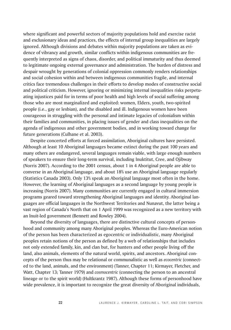where significant and powerful sectors of majority populations hold and exercise racist and exclusionary ideas and practices, the effects of internal group inequalities are largely ignored. Although divisions and debates within majority populations are taken as evidence of vibrancy and growth, similar conflicts within indigenous communities are frequently interpreted as signs of chaos, disorder, and political immaturity and thus deemed to legitimate ongoing external governance and administration. The burden of distress and despair wrought by generations of colonial oppression commonly renders relationships and social cohesion within and between indigenous communities fragile, and internal critics face tremendous challenges in their efforts to develop modes of constructive social and political criticism. However, ignoring or minimizing internal inequalities risks perpetuating injustices paid for in terms of poor health and high levels of social suffering among those who are most marginalized and exploited: women, Elders, youth, two-spirited people (i.e., gay or lesbian), and the disabled and ill. Indigenous women have been courageous in struggling with the personal and intimate legacies of colonialism within their families and communities, in placing issues of gender and class inequalities on the agenda of indigenous and other government bodies, and in working toward change for future generations (Culhane et al. 2003).

 Despite concerted efforts at forced assimilation, Aboriginal cultures have persisted. Although at least 10 Aboriginal languages became extinct during the past 100 years and many others are endangered, several languages remain viable, with large enough numbers of speakers to ensure their long-term survival, including Inuktitut, Cree, and Ojibway (Norris 2007). According to the 2001 census, about 1 in 4 Aboriginal people are able to converse in an Aboriginal language, and about 18% use an Aboriginal language regularly (Statistics Canada 2003). Only 13% speak an Aboriginal language most often in the home. However, the learning of Aboriginal languages as a second language by young people is increasing (Norris 2007). Many communities are currently engaged in cultural immersion programs geared toward strengthening Aboriginal languages and identity. Aboriginal languages are official languages in the Northwest Territories and Nunavut, the latter being a vast region of Canada's North that on 1 April 1999 was recognized as a new territory with an Inuit-led government (Bennett and Rowley 2004).

 Beyond the diversity of languages, there are distinctive cultural concepts of personhood and community among many Aboriginal peoples. Whereas the Euro-American notion of the person has been characterized as egocentric or individualistic, many Aboriginal peoples retain notions of the person as defined by a web of relationships that includes not only extended family, kin, and clan but, for hunters and other people living off the land, also animals, elements of the natural world, spirits, and ancestors. Aboriginal concepts of the person thus may be relational or communalistic as well as *ecocentric* (connected to the land, animals, and the environment) (Tanner, Chapter 11; Kirmayer, Fletcher, and Watt, Chapter 13; Tanner 1979) and *cosmocentric* (connecting the person to an ancestral lineage or to the spirit world) (Hultkrantz 1987). Although these forms of personhood have wide prevalence, it is important to recognize the great diversity of Aboriginal individuals,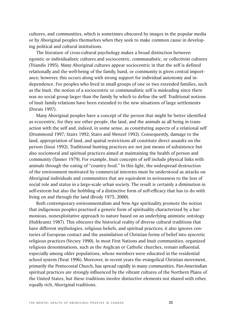cultures, and communities, which is sometimes obscured by images in the popular media or by Aboriginal peoples themselves when they seek to make common cause in developing political and cultural institutions.

 The literature of cross-cultural psychology makes a broad distinction between egoistic or individualistic cultures and sociocentric, communalistic, or collectivist cultures (Triandis 1995). Many Aboriginal cultures appear sociocentric in that the self is defined relationally and the well-being of the family, band, or community is given central importance; however, this occurs along with strong support for individual autonomy and independence. For peoples who lived in small groups of one or two extended families, such as the Inuit, the notion of a sociocentric or communalistic self is misleading since there was no social group larger than the family by which to define the self. Traditional notions of Inuit family relations have been extended to the new situations of large settlements (Dorais 1997).

 Many Aboriginal peoples have a concept of the person that might be better identified as ecocentric, for they see other people, the land, and the animals as all being in transaction with the self and, indeed, in some sense, as constituting aspects of a relational self (Drummond 1997; Stairs 1992; Stairs and Wenzel 1992). Consequently, damage to the land, appropriation of land, and spatial restrictions all constitute direct assaults on the person (Sioui 1992). Traditional hunting practices are not just means of subsistence but also sociomoral and spiritual practices aimed at maintaining the health of person and community (Tanner 1979). For example, Inuit concepts of self include physical links with animals through the eating of "country food." In this light, the widespread destruction of the environment motivated by commercial interests must be understood as attacks on Aboriginal individuals and communities that are equivalent in seriousness to the loss of social role and status in a large-scale urban society. The result is certainly a diminution in self-esteem but also the hobbling of a distinctive form of self-efficacy that has to do with living on and through the land (Brody 1975, 2000).

 Both contemporary environmentalism and New Age spirituality promote the notion that indigenous peoples practised a generic form of spirituality characterized by a harmonious, nonexploitative approach to nature based on an underlying animistic ontology (Hultkrantz 1987). This obscures the historical reality of diverse cultural traditions that have different mythologies, religious beliefs, and spiritual practices; it also ignores centuries of European contact and the assimilation of Christian forms of belief into syncretic religious practices (Vecsey 1990). In most First Nations and Inuit communities, organized religious denominations, such as the Anglican or Catholic churches, remain influential, especially among older populations, whose members were educated in the residential school system (Treat 1996). Moreover, in recent years the evangelical Christian movement, primarily the Pentecostal Church, has spread rapidly in many communities. Pan-Amerindian spiritual practices are strongly influenced by the vibrant cultures of the Northern Plains of the United States, but these traditions involve distinctive elements not shared with other, equally rich, Aboriginal traditions.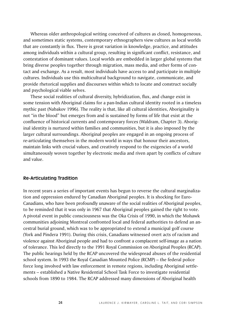Whereas older anthropological writing conceived of cultures as closed, homogeneous, and sometimes static systems, contemporary ethnographers view cultures as local worlds that are constantly in flux. There is great variation in knowledge, practice, and attitudes among individuals within a cultural group, resulting in significant conflict, resistance, and contestation of dominant values. Local worlds are embedded in larger global systems that bring diverse peoples together through migration, mass media, and other forms of contact and exchange. As a result, most individuals have access to and participate in multiple cultures. Individuals use this multicultural background to navigate, communicate, and provide rhetorical supplies and discourses within which to locate and construct socially and psychological viable selves.

 These social realities of cultural diversity, hybridization, flux, and change exist in some tension with Aboriginal claims for a pan-Indian cultural identity rooted in a timeless mythic past (Nabakov 1996). The reality is that, like all cultural identities, Aboriginality is not "in the blood" but emerges from and is sustained by forms of life that exist at the confluence of historical currents and contemporary forces (Waldram, Chapter 3). Aboriginal identity is nurtured within families and communities, but it is also imposed by the larger cultural surroundings. Aboriginal peoples are engaged in an ongoing process of re-articulating themselves in the modern world in ways that honour their ancestors, maintain links with crucial values, and creatively respond to the exigencies of a world simultaneously woven together by electronic media and riven apart by conflicts of culture and value.

### **Re-Articulating Tradition**

In recent years a series of important events has begun to reverse the cultural marginalization and oppression endured by Canadian Aboriginal peoples. It is shocking for Euro-Canadians, who have been profoundly unaware of the social realities of Aboriginal peoples, to be reminded that it was only in 1967 that Aboriginal peoples gained the right to vote. A pivotal event in public consciousness was the Oka Crisis of 1990, in which the Mohawk communities adjoining Montreal confronted local and federal authorities to defend an ancestral burial ground, which was to be appropriated to extend a municipal golf course (York and Pindera 1991). During this crisis, Canadians witnessed overt acts of racism and violence against Aboriginal people and had to confront a complacent self-image as a nation of tolerance. This led directly to the 1991 Royal Commission on Aboriginal Peoples (RCAP). The public hearings held by the RCAP uncovered the widespread abuses of the residential school system. In 1993 the Royal Canadian Mounted Police (RCMP) – the federal police force long involved with law enforcement in remote regions, including Aboriginal settlements – established a Native Residential School Task Force to investigate residential schools from 1890 to 1984. The RCAP addressed many dimensions of Aboriginal health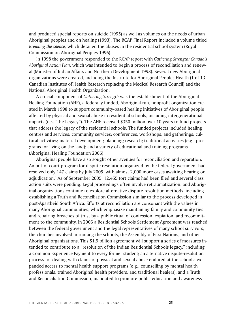and produced special reports on suicide (1995) as well as volumes on the needs of urban Aboriginal peoples and on healing (1993). The RCAP Final Report included a volume titled *Breaking the silence,* which detailed the abuses in the residential school system (Royal Commission on Aboriginal Peoples 1996).

 In 1998 the government responded to the RCAP report with *Gathering Strength: Canada's Aboriginal Action Plan,* which was intended to begin a process of reconciliation and renewal (Minister of Indian Affairs and Northern Development 1998). Several new Aboriginal organizations were created, including the Institute for Aboriginal Peoples Health (1 of 13 Canadian Institutes of Health Research replacing the Medical Research Council) and the National Aboriginal Health Organization.

 A crucial component of *Gathering Strength* was the establishment of the Aboriginal Healing Foundation (AHF), a federally funded, Aboriginal-run, nonprofit organization created in March 1998 to support community-based healing initiatives of Aboriginal people affected by physical and sexual abuse in residential schools, including intergenerational impacts (i.e., "the Legacy"). The AHF received \$350 million over 10 years to fund projects that address the legacy of the residential schools. The funded projects included healing centres and services; community services; conferences, workshops, and gatherings; cultural activities; material development; planning; research; traditional activities (e.g., programs for living on the land); and a variety of educational and training programs (Aboriginal Healing Foundation 2006).

 Aboriginal people have also sought other avenues for reconciliation and reparation. An out-of-court program for dispute resolution organized by the federal government had resolved only 147 claims by July 2005, with almost 2,000 more cases awaiting hearing or adjudication.<sup>8</sup> As of September 2005, 12,455 tort claims had been filed and several class action suits were pending. Legal proceedings often involve retraumatization, and Aboriginal organizations continue to explore alternative dispute-resolution methods, including establishing a Truth and Reconciliation Commission similar to the process developed in post-Apartheid South Africa. Efforts at reconciliation are consonant with the values in many Aboriginal communities, which emphasize maintaining family and community ties and repairing breaches of trust by a public ritual of confession, expiation, and recommitment to the community. In 2006 a Residential Schools Settlement Agreement was reached between the federal government and the legal representatives of many school survivors, the churches involved in running the schools, the Assembly of First Nations, and other Aboriginal organizations. This \$1.9 billion agreement will support a series of measures intended to contribute to a "resolution of the Indian Residential Schools legacy," including a Common Experience Payment to every former student; an alternative dispute-resolution process for dealing with claims of physical and sexual abuse endured at the schools; expanded access to mental health support programs (e.g., counselling by mental health professionals, trained Aboriginal health providers, and traditional healers); and a Truth and Reconciliation Commission, mandated to promote public education and awareness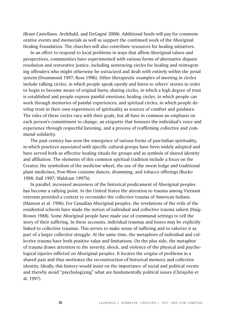(Brant Castellano, Archibald, and DeGagné 2008). Additional funds will pay for commemorative events and memorials as well as support the continued work of the Aboriginal Healing Foundation. The churches will also contribute resources for healing initiatives.

 In an effort to respond to local problems in ways that affirm Aboriginal values and perspectives, communities have experimented with various forms of alternative dispute resolution and restorative justice, including sentencing circles for healing and reintegrating offenders who might otherwise be ostracized and dealt with entirely within the penal system (Drummond 1997; Ross 1996). Other therapeutic examples of meeting in circles include talking circles, in which people speak openly and listen to others' stories in order to begin to become aware of original hurts; sharing circles, in which a high degree of trust is established and people express painful emotions; healing circles, in which people can work through memories of painful experiences; and spiritual circles, in which people develop trust in their own experiences of spirituality as sources of comfort and guidance. The rules of these circles vary with their goals, but all have in common an emphasis on each person's commitment to change, an etiquette that honours the individual's voice and experience through respectful listening, and a process of reaffirming collective and communal solidarity.

 The past century has seen the emergence of various forms of pan-Indian spirituality, in which practices associated with specific cultural groups have been widely adopted and have served both as effective healing rituals for groups and as symbols of shared identity and affiliation. The elements of this common spiritual tradition include a focus on the Creator, the symbolism of the medicine wheel, the use of the sweat lodge and traditional plant medicines, Pow-Wow costume dances, drumming, and tobacco offerings (Bucko 1998; Hall 1997; Waldram 1997b).

 In parallel, increased awareness of the historical predicament of Aboriginal peoples has become a rallying point. In the United States the attention to trauma among Vietnam veterans provided a context to reconsider the collective trauma of American Indians (Manson et al. 1996). For Canadian Aboriginal peoples, the revelations of the evils of the residential schools have made the notion of individual and collective trauma salient (Haig-Brown 1988). Some Aboriginal people have made use of communal settings to tell the story of their suffering. In these accounts, individual traumas and losses may be explicitly linked to collective traumas. This serves to make sense of suffering and to valorize it as part of a larger collective struggle. At the same time, the metaphors of individual and collective trauma have both positive value and limitations. On the plus side, the metaphor of trauma draws attention to the severity, shock, and violence of the physical and psychological injuries inflicted on Aboriginal peoples. It locates the origins of problems in a shared past and thus motivates the reconstruction of historical memory and collective identity. Ideally, this history would insist on the importance of social and political events and thereby avoid "psychologizing" what are fundamentally political issues (Chrisjohn et al. 1997).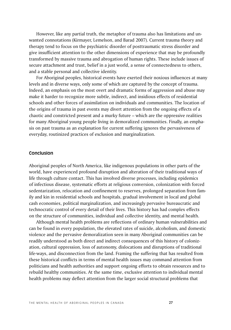However, like any partial truth, the metaphor of trauma also has limitations and unwanted connotations (Kirmayer, Lemelson, and Barad 2007). Current trauma theory and therapy tend to focus on the psychiatric disorder of posttraumatic stress disorder and give insufficient attention to the other dimensions of experience that may be profoundly transformed by massive trauma and abrogation of human rights. These include issues of secure attachment and trust, belief in a just world, a sense of connectedness to others, and a stable personal and collective identity.

 For Aboriginal peoples, historical events have exerted their noxious influences at many levels and in diverse ways, only some of which are captured by the concept of trauma. Indeed, an emphasis on the most overt and dramatic forms of aggression and abuse may make it harder to recognize more subtle, indirect, and insidious effects of residential schools and other forces of assimilation on individuals and communities. The location of the origins of trauma in past events may divert attention from the ongoing effects of a chaotic and constricted present and a murky future – which are the oppressive realities for many Aboriginal young people living in demoralized communities. Finally, an emphasis on past trauma as an explanation for current suffering ignores the pervasiveness of everyday, routinized practices of exclusion and marginalization.

### **Conclusion**

Aboriginal peoples of North America, like indigenous populations in other parts of the world, have experienced profound disruption and alteration of their traditional ways of life through culture contact. This has involved diverse processes, including epidemics of infectious disease, systematic efforts at religious conversion, colonization with forced sedentarization, relocation and confinement to reserves, prolonged separation from family and kin in residential schools and hospitals, gradual involvement in local and global cash economies, political marginalization, and increasingly pervasive bureaucratic and technocratic control of every detail of their lives. This history has had complex effects on the structure of communities, individual and collective identity, and mental health.

 Although mental health problems are reflections of ordinary human vulnerabilities and can be found in every population, the elevated rates of suicide, alcoholism, and domestic violence and the pervasive demoralization seen in many Aboriginal communities can be readily understood as both direct and indirect consequences of this history of colonization, cultural oppression, loss of autonomy, dislocations and disruptions of traditional life-ways, and disconnection from the land. Framing the suffering that has resulted from these historical conflicts in terms of mental health issues may command attention from politicians and health authorities and support ongoing efforts to obtain resources and to rebuild healthy communities. At the same time, exclusive attention to individual mental health problems may deflect attention from the larger social structural problems that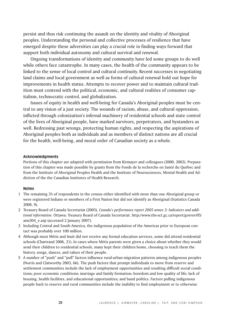persist and thus risk continuing the assault on the identity and vitality of Aboriginal peoples. Understanding the personal and collective processes of resilience that have emerged despite these adversities can play a crucial role in finding ways forward that support both individual autonomy and cultural survival and renewal.

 Ongoing transformations of identity and community have led some groups to do well while others face catastrophe. In many cases, the health of the community appears to be linked to the sense of local control and cultural continuity. Recent successes in negotiating land claims and local government as well as forms of cultural renewal hold out hope for improvements in health status. Attempts to recover power and to maintain cultural tradition must contend with the political, economic, and cultural realities of consumer capitalism, technocratic control, and globalization.

 Issues of equity in health and well-being for Canada's Aboriginal peoples must be central to any vision of a just society. The wounds of racism, abuse, and cultural oppression, inflicted through colonization's infernal machinery of residential schools and state control of the lives of Aboriginal people, have marked survivors, perpetrators, and bystanders as well. Redressing past wrongs, protecting human rights, and respecting the aspirations of Aboriginal peoples both as individuals and as members of distinct nations are all crucial for the health, well-being, and moral order of Canadian society as a whole.

### **Acknowledgments**

Portions of this chapter are adapted with permission from Kirmayer and colleagues (2000, 2003). Preparation of this chapter was made possible by grants from the Fonds de la recherche en Santé du Québec and from the Institute of Aboriginal Peoples Health and the Institute of Neurosciences, Mental Health and Addiction of the the Canadian Institutes of Health Research.

### **Notes**

- 1 The remaining 3% of respondents in the census either identified with more than one Aboriginal group or were registered Indians or members of a First Nation but did not identify as Aboriginal (Statistics Canada 2008, 9).
- 2 Treasury Board of Canada Secretariat (2005). *Canada's performance report 2005 annex 3: Indicators and additional information.* Ottawa: Treasury Board of Canada Secretariat. http://www.tbs-sct.gc.ca/report/govrev/05/ ann304\_e.asp (accessed 2 January 2007).
- 3 Including Central and South America, the indigenous population of the Americas prior to European contact was probably over 100 million.
- 4 Although most Métis and Inuit did not receive any formal education services, some did attend residential schools (Chartrand 2006, 21). In cases where Métis parents were given a choice about whether they would send their children to residential schools, many kept their children home, choosing to teach them the history, songs, dances, and values of their people.
- 5 A number of "push" and "pull" factors influence rural-urban migration patterns among indigenous peoples (Norris and Clatworthy 2003, 66). The push factors that prompt individuals to move from reserve and settlement communities include the lack of employment opportunities and resulting difficult social conditions; poor economic conditions; marriage and family formation; boredom and low quality of life; lack of housing, health facilities, and educational opportunities; and band politics. Factors pulling indigenous people back to reserve and rural communities include the inability to find employment or to otherwise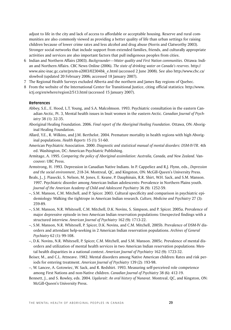adjust to life in the city and lack of access to affordable or acceptable housing. Reserve and rural communities are also commonly viewed as providing a better quality of life than urban settings for raising children because of lower crime rates and less alcohol and drug abuse (Norris and Clatworthy 2003). Stronger social networks that include support from extended families, friends, and culturally appropriate activities and services are also important factors that pull indigenous peoples from cities.

- 6 Indian and Northern Affairs (2003). *Backgrounder—Water quality and First Nation communities.* Ottawa: Indian and Northern Affairs. CBC News Online (2006). *The state of drinking water on Canada's reserves.* http:// www.ainc-inac.gc.ca/nr/prs/m-a2003/02304bk\_e.html (accessed 2 June 2008). See also http://www.cbc.ca/ slowboil (updated 20 February 2006; accessed 18 January 2007).
- 7 The Regional Health Surveys excluded Alberta and the northern and James Bay regions of Quebec.
- 8 From the website of the International Center for Transitional Justice, citing official statistics: http://www. ictj.org/en/where/region2/513.html (accessed 15 January 2007).

#### **References**

- Abbey, S.E., E. Hood, L.T. Young, and S.A. Malcolmson. 1993. Psychiatric consultation in the eastern Canadian Arctic, Pt. 3, Mental health issues in Inuit women in the eastern Arctic. *Canadian Journal of Psychiatry* 38 (1): 32-35.
- Aboriginal Healing Foundation. 2006. *Final report of the Aboriginal Healing Foundation*. Ottawa, ON: Aboriginal Healing Foundation.
- Allard, Y.E., R. Wilkins, and J.M. Berthelot. 2004. Premature mortality in health regions with high Aboriginal populations. *Health Reports* 15 (1): 51-60.
- American Psychiatric Association. 2000. *Diagnostic and statistical manual of mental disorders: DSM-IV-TR*. 4th ed. Washington, DC: American Psychiatric Publishing.
- Armitage, A. 1995. *Comparing the policy of Aboriginal assimilation: Australia, Canada, and New Zealand*. Vancouver: UBC Press.
- Armstrong, H. 1993. Depression in Canadian Native Indians. In P. Cappeliez and R.J. Flynn, eds., *Depression and the social environment*, 218-34. Montreal, QC, and Kingston, ON: McGill-Queen's University Press.
- Beals, J., J. Piasecki, S. Nelson, M. Jones, E. Keane, P. Dauphinais, R.R. Shirt, W.H. Sack, and S.M. Manson. 1997. Psychiatric disorder among American Indian adolescents: Prevalence in Northern Plains youth. *Journal of the American Academy of Child and Adolescent Psychiatry* 36 (9): 1252-59.
- –, S.M. Manson, C.M. Mitchell, and P. Spicer. 2003. Cultural specificity and comparison in psychiatric epidemiology: Walking the tightrope in American Indian research. *Culture, Medicine and Psychiatry* 27 (3): 259-89.
- –, S.M. Manson, N.R. Whitesell, C.M. Mitchell, D.K. Novins, S. Simpson, and P. Spicer. 2005a. Prevalence of major depressive episode in two American Indian reservation populations: Unexpected findings with a structured interview. *American Journal of Psychiatry* 162 (9): 1713-22.
- –, S.M. Manson, N.R. Whitesell, P. Spicer, D.K. Novins, and C.M. Mitchell, 2005b. Prevalence of DSM-IV disorders and attendant help-seeking in 2 American Indian reservation populations. *Archives of General Psychiatry* 62 (1): 99-108.
- –, D.K. Novins, N.R. Whitesell, P. Spicer, C.M. Mitchell, and S.M. Manson. 2005c. Prevalence of mental disorders and utilization of mental health services in two American Indian reservation populations: Mental health disparities in a national context. *American Journal of Psychiatry* 162 (9): 1723-32.
- Beiser, M., and C.L. Attneave. 1982. Mental disorders among Native American children: Rates and risk periods for entering treatment. *American Journal of Psychiatry* 139 (2): 193-98.
- –, W. Lancee, A. Gotowiec, W. Sack, and R. Redshirt. 1993. Measuring self-perceived role competence among First Nations and non-Native children. *Canadian Journal of Psychiatry* 38 (6): 412-19.
- Bennett, J., and S. Rowley, eds. 2004. *Uqalurait: An oral history of Nunavut*. Montreal, QC, and Kingston, ON: McGill-Queen's University Press.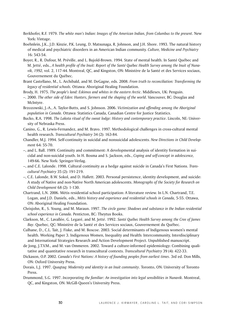- Berkhofer, R.F. 1979. *The white man's Indian: Images of the American Indian, from Columbus to the present*. New York: Vintage.
- Boehnlein, J.K., J.D. Kinzie, P.K. Leung, D. Matsunaga, R. Johnson, and J.H. Shore. 1993. The natural history of medical and psychiatric disorders in an American Indian community. *Culture, Medicine and Psychiatry*  16: 543-54.
- Boyer, R., R. Dufour, M. Préville, and L. Bujold-Brown. 1994. State of mental health. In Santé Québec and M. Jetté, eds., *A health profile of the Inuit: Report of the Santé Québec Health Survey among the Inuit of Nunavik, 1992,* vol. 2, 117-44. Montreal, QC, and Kingston, ON: Ministère de la Santé et des Services sociaux, Gouvernement du Québec.
- Brant Castellano, M., L. Archibald, and M. DeGagne, eds. 2008. *From truth to reconciliation: Transforming the legacy of residential schools.* Ottawa: Aboriginal Healing Foundation.
- Brody, H. 1975. *The people's land: Eskimos and whites in the eastern Arctic*. Middlesex, UK: Penguin.
- –. 2000. *The other side of Eden: Hunters, farmers and the shaping of the world*. Vancouver, BC: Douglas and McIntyre.
- Brzozowski, J.-A., A. Taylor-Butts, and S. Johnson. 2006. *Victimization and offending among the Aboriginal population in Canada*. Ottawa: Statistics Canada, Canadian Centre for Justice Statistics.
- Bucko, R.A. 1998. *The Lakota ritual of the sweat lodge: History and contemporary practice*. Lincoln, NE: University of Nebraska Press.
- Canino, G., R. Lewis-Fernandez, and M. Bravo. 1997. Methodological challenges in cross-cultural mental health research. *Transcultural Psychiatry* 34 (2): 163-84.
- Chandler, M.J. 1994. Self-continuity in suicidal and nonsuicidal adolescents. *New Directions in Child Development* 64: 55-70.
- –, and L. Ball. 1989. Continuity and commitment: A developmental analysis of identity formation in suicidal and non-suicidal youth. In H. Bosma and S. Jackson, eds., *Coping and self-concept in adolescence,* 149-66. New York: Springer-Verlag.
- –, and C.E. Lalonde. 1998. Cultural continuity as a hedge against suicide in Canada's First Nations. *Transcultural Psychiatry* 35 (2): 191-219.
- –, C.E. Lalonde, B.W. Sokol, and D. Hallett. 2003. Personal persistence, identity development, and suicide: A study of Native and non-Native North American adolescents. *Monographs of the Society for Research on Child Development* 68 (2): 1-130.
- Chartrand, L.N. 2006. Métis residential school participation: A literature review. In L.N. Chartrand, T.E. Logan, and J.D. Daniels, eds., *Métis history and experience and residential schools in Canada,* 5-55. Ottawa, ON: Aboriginal Healing Foundation.
- Chrisjohn, R., S. Young, and M. Maraun. 1997. *The circle game: Shadows and substance in the Indian residential school experience in Canada*. Penticton, BC: Theytus Books.
- Clarkson, M., C. Lavallée, G. Legaré, and M. Jetté. 1992. *Santé Québec Health Survey among the Cree of James Bay*. Quebec, QC: Ministère de la Santé et des Services sociaux, Gouvernement du Québec.
- Culhane, D., C.L. Tait, J. Fiske, and M. Boscoe. 2003. Social determinants of Indigenous women's mental health. Working Paper 3. Indigenous Women, Inequality and Health: Intercommunity, Interdisciplinary and International Strategies Research and Action Development Project**.** Unpublished manuscript.
- de Jong, J.T.V.M., and M. van Ommeren. 2002. Toward a culture-informed epidemiology: Combining qualitative and quantitative research in transcultural contexts. *Transcultural Psychiatry* 39 (4): 422-33.
- Dickason, O.P. 2002. *Canada's First Nations: A history of founding peoples from earliest times*. 3rd ed. Don Mills, ON: Oxford University Press.
- Dorais, L.J. 1997. *Quaqtaq: Modernity and identity in an Inuit community*. Toronto, ON: University of Toronto Press.
- Drummond, S.G. 1997. *Incorporating the familiar: An investigation into legal sensibilities in Nunavik*. Montreal, QC, and Kingston, ON: McGill-Queen's University Press.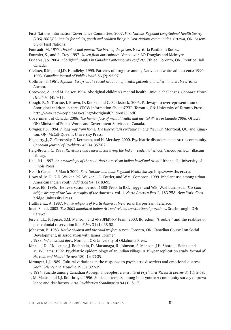- First Nations Information Governance Committee. 2007. *First Nations Regional Longitudinal Health Survey (RHS) 2002/03: Results for adults, youth and children living in First Nations communities*. Ottawa, ON: Assembly of First Nations.
- Foucault, M. 1977. *Discipline and punish: The birth of the prison*. New York: Pantheon Books.
- Fournier, S., and E. Crey. 1997. *Stolen from our embrace*. Vancouver, BC: Douglas and McIntyre.
- Frideres, J.S. 2004. *Aboriginal peoples in Canada: Contemporary conflicts*. 7th ed. Toronto, ON: Prentice Hall Canada.
- Gfellner, B.M., and J.D. Hundleby. 1995. Patterns of drug use among Native and white adolescents: 1990- 1993. *Canadian Journal of Public Health* 86 (2): 95-97.
- Goffman, E. 1961. *Asylums: Essays on the social situation of mental patients and other inmates*. New York: Anchor.
- Gotowiec, A., and M. Beiser. 1994. Aboriginal children's mental health: Unique challenges*. Canada's Mental Health* 41 (4): 7-11.
- Gough, P., N. Trocmé, I. Brown, D. Knoke, and C. Blackstock. 2005. Pathways to overrepresentation of Aboriginal children in care. CECW Information Sheet #23E. Toronto, ON: University of Toronto Press. http://www.cecw-cepb.ca/DocsEng/AboriginalChildren23Epdf.

Government of Canada. 2006. *The human face of mental health and mental illness in Canada 2006*. Ottawa, ON: Minister of Public Works and Government Services of Canada.

- Grygier, P.S. 1994. *A long way from home: The tuberculosis epidemic among the Inuit*. Montreal, QC, and Kingston, ON: McGill-Queen's University Press.
- Haggarty, J., Z. Cernovsky, P. Kermeen, and H. Merskey. 2000. Psychiatric disorders in an Arctic community. *Canadian Journal of Psychiatry* 45 (4): 357-62.
- Haig-Brown, C. 1988. *Resistance and renewal: Surviving the Indian residential school*. Vancouver, BC: Tillacum Library.
- Hall, R.L. 1997. *An archaeology of the soul: North American Indian belief and ritual*. Urbana, IL: University of Illinois Press.
- Health Canada. 5 March 2002. *First Nations and Inuit Regional Health Survey.* http://www.rhs-ers.ca.
- Howard, M.O., R.D. Walker, P.S. Walker, L.B. Cottler, and W.M. Compton. 1999. Inhalant use among urban American Indian youth. *Addiction* 94 (1): 83-95.
- Hoxie, F.E. 1996. The reservation period, 1880-1960. In B.G. Trigger and W.E. Washburn, eds., *The Cambridge history of the Native peoples of the Americas,* vol. 1, *North America Part 2,* 183-258. New York: Cambridge University Press.
- Hultkrantz, A. 1987. *Native religions of North America*. New York: Harper San Francisco.
- Imai, S., ed. 2003. *The 2003 annotated Indian Act and related constitutional provisions*. Scarborough, ON: Carswell.
- Jervis, L.L., P. Spicer, S.M. Manson, and AI-SUPERFRP Team. 2003. Boredom, "trouble," and the realities of postcolonial reservation life. *Ethos* 31 (1): 38-58.
- Johnston, B. 1983. *Native children and the child welfare system*. Toronto, ON: Canadian Council on Social Development, in association with James Lorimer.
- –. 1988. *Indian school days*. Norman, OK: University of Oklahoma Press.

Kinzie, J.D., P.K. Leung, J. Boehnlein, D. Matsunaga, R. Johnson, S. Manson, J.H. Shore, J. Heinz, and M. Williams. 1992. Psychiatric epidemiology of an Indian village: A 19-year replication study. *Journal of Nervous and Mental Disease* 180 (1): 33-39.

- Kirmayer, L.J. 1989. Cultural variations in the response to psychiatric disorders and emotional distress. *Social Science and Medicine* 29 (3): 327-39.
- –. 1994. Suicide among Canadian Aboriginal peoples. *Transcultural Psychiatric Research Review* 31 (1): 3-58.
- –, M. Malus, and L.J. Boothroyd. 1996. Suicide attempts among Inuit youth: A community survey of prevalence and risk factors. *Acta Psychiatrica Scandinavica* 94 (1): 8-17.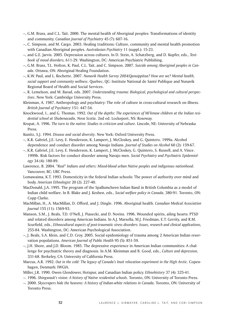- –, G.M. Brass, and C.L. Tait. 2000. The mental health of Aboriginal peoples: Transformations of identity and community. *Canadian Journal of Psychiatry* 45 (7): 607-16.
- –, C. Simpson, and M. Cargo. 2003. Healing traditions: Culture, community and mental health promotion with Canadian Aboriginal peoples. *Australasian Psychiatry* 11 (suppl.): 15-23.
- –, and G.E. Jarvis. 2005. Depression across cultures. In D. Stein, A. Schatzberg, and D. Kupfer, eds., *Textbook of mood disorders,* 611-29. Washington, DC: American Psychiatric Publishing.
- –, G.M. Brass, T.L. Holton, K. Paul, C.L. Tait, and C. Simpson. 2007. *Suicide among Aboriginal peoples in Canada*. Ottawa, ON: Aboriginal Healing Foundation.
- –, K.W. Paul, and L. Rochette. 2007. *Nunavik Health Survey 2004/Qanuippitaa? How are we? Mental health, social support and community wellness*. Quebec, QC: Institute National de Santé Publique and Nunavik Regional Board of Health and Social Services.
- –, R. Lemelson, and M. Barad, eds. 2007. *Understanding trauma: Biological, psychological and cultural perspectives*. New York: Cambridge University Press.
- Kleinman, A. 1987. Anthropology and psychiatry: The role of culture in cross-cultural research on illness. *British Journal of Psychiatry* 151: 447-54.
- Knockwood, I., and G. Thomas. 1992. *Out of the depths: The experiences of Mi'kmaw children at the Indian residential school at Shubenacadie, Nova Scotia*. 2nd ed. Lockeport, NS: Roseway.
- Krupat, A. 1996. *The turn to the native: Studies in criticism and culture*. Lincoln, NE: University of Nebraska Press.
- Kunitz, S.J. 1994. *Disease and social diversity*. New York: Oxford University Press.
- –, K.R. Gabriel, J.E. Levy, E. Henderson, K. Lampert, J. McCloskey, and G. Quintero. 1999a. Alcohol dependence and conduct disorder among Navajo Indians. *Journal of Studies on Alcohol* 60 (2): 159-67.
- –, K.R. Gabriel, J.E. Levy, E. Henderson, K. Lampert, J. McCloskey, G. Quintero, S. Russell, and A. Vince. 1999b. Risk factors for conduct disorder among Navajo men. *Social Psychiatry and Psychiatric Epidemiology* 34 (4): 180-89.
- Lawrence, B. 2004. *"Real" Indians and others: Mixed-blood urban Native peoples and indigenous nationhood*. Vancouver, BC: UBC Press.
- Lomawaima, K.T. 1993. Domesticity in the federal Indian schools: The power of authority over mind and body. *American Ethnologist* 20 (2): 227-40.
- MacDonald, J.A. 1995. The program of the Spallumcheen Indian Band in British Columbia as a model of Indian child welfare. In B. Blake and J. Keshen, eds., *Social welfare policy in Canada*, 380-91. Toronto, ON: Copp Clarke.
- MacMillan, H., A. MacMillan, D. Offord, and J. Dingle. 1996. Aboriginal health. *Canadian Medical Association Journal* 155 (11): 1569-93.
- Manson, S.M., J. Beals, T.D. O'Nell, J. Piasecki, and D. Novins. 1996. Wounded spirits, ailing hearts: PTSD and related disorders among American Indians. In A.J. Marsella, M.J. Friedman, E.T. Gerrity, and R.M. Scurfield, eds., *Ethnocultural aspects of post-traumatic stress disorders: Issues, research and clinical applications,*  255-84. Washington, DC: American Psychological Association.
- –, J. Beals, S.A. Klein, and C.D. Croy. 2005. Social epidemiology of trauma among 2 American Indian reservation populations. *American Journal of Public Health* 95 (5): 851-59.
- –, J.H. Shore, and J.D. Bloom. 1985. The depressive experience in American Indian communities: A challenge for psychiatric theory and diagnosis. In A.M. Kleinman and B. Good, eds., *Culture and depression,* 331-68. Berkeley, CA: University of California Press.
- Marcus, A.R. 1992. *Out in the cold: The legacy of Canada's Inuit relocation experiment in the High Arctic*. Copenhagen, Denmark: IWGIA.
- Miller, J.R. 1990. Owen Glendower, Hotspur, and Canadian Indian policy. *Ethnohistory* 37 (4): 325-41.
- –. 1996. *Shingwauk's vision: A history of Native residential schools*. Toronto, ON: University of Toronto Press.
- –. 2000. *Skyscrapers hide the heavens: A history of Indian-white relations in Canada*. Toronto, ON: University of Toronto Press.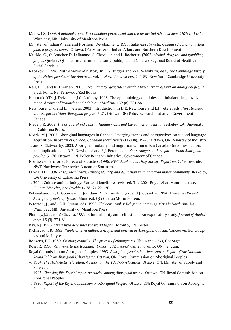- Milloy, J.S. 1999. *A national crime: The Canadian government and the residential school system, 1879 to 1986*. Winnipeg, MB: University of Manitoba Press.
- Minister of Indian Affairs and Northern Development. 1998. *Gathering strength: Canada's Aboriginal action plan, a progress report*. Ottawa, ON: Minister of Indian Affairs and Northern Development.
- Muckle, G., O. Boucher, D. Laflamme, S. Chevalier, and L. Rochette. (2007) *Alcohol, drug use and gambling profile.* Quebec, QC: Institute national de santé publique and Nunavik Regional Board of Health and Social Services.
- Nabakov, P. 1996. Native views of history. In B.G. Trigger and W.E. Washburn, eds., *The Cambridge history of the Native peoples of the Americas,* vol. 1, *North America Part 1,* 1-59. New York: Cambridge University Press.
- Neu, D.E., and R. Therrien. 2003. *Accounting for genocide: Canada's bureaucratic assault on Aboriginal people*. Black Point, NS: Fernwood/Zed Books.
- Neumark, Y.D., J. Delva, and J.C. Anthony. 1998. The epidemiology of adolescent inhalant drug involvement*. Archives of Pediatrics and Adolescent Medicine* 152 (8): 781-86.
- Newhouse, D.R. and E.J. Peters. 2003. Introduction. In D.R*.* Newhouse and E.J. Peters, eds., *Not strangers in these parts: Urban Aboriginal peoples,* 5-21. Ottawa, ON: Policy Research Initiative, Government of Canada.
- Niezen, R. 2003*. The origins of indigenism: Human rights and the politics of identity*. Berkeley, CA: University of California Press.
- Norris, M.J. 2007. Aboriginal languages in Canada: Emerging trends and perspectives on second language acquisition. In *Statistics Canada: Canadian social trends* (11-008), 19-27. Ottawa, ON: Ministry of Industry.
- –, and S. Clatworthy. 2003. Aboriginal mobility and migration within urban Canada: Outcomes, factors and implications. In D.R*.* Newhouse and E.J. Peters, eds., *Not strangers in these parts: Urban Aboriginal peoples,* 51-78. Ottawa, ON: Policy Research Initiative, Government of Canada.
- Northwest Territories Bureau of Statistics. 1996. *NWT Alcohol and Drug Survey: Report no. 1*. Yellowknife, NWT: Northwest Territories Bureau of Statistics.
- O'Nell, T.D. 1996. *Disciplined hearts: History, identity, and depression in an American Indian community*. Berkeley, CA: University of California Press.
- –. 2004. Culture and pathology: Flathead loneliness revisited. The 2001 Roger Allan Moore Lecture. *Culture, Medicine, and Psychiatry* 28 (2): 221-30.
- Petawabano, B., E. Gourdeau, F. Jourdain, A. Palliser-Tulugak, and J. Cossette. 1994. *Mental health and Aboriginal people of Québec*. Montreal, QC: Gaëtan Morin Éditeur.
- Peterson, J., and J.S.H. Brown, eds. 1993. *The new peoples: Being and becoming Métis in North America*. Winnipeg, MB: University of Manitoba Press.
- Phinney, J.S., and V. Chavira. 1992. Ethnic identity and self-esteem: An exploratory study. *Journal of Adolescence* 15 (3): 271-81.
- Ray, A.J. 1996. *I have lived here since the world began*. Toronto, ON: Lester.
- Richardson, B. 1993. *People of terra nullius: Betrayal and renewal in Aboriginal Canada*. Vancouver, BC: Douglas and McIntyre.
- Roosens, E.E. 1989. *Creating ethnicity: The process of ethnogenesis*. Thousand Oaks, CA: Sage.

Ross, R. 1996. *Returning to the teachings: Exploring Aboriginal justice*. Toronto, ON: Penguin.

- Royal Commission on Aboriginal Peoples. 1993. *Aboriginal peoples in urban centres: Report of the National Round Table on Aboriginal Urban Issues*. Ottawa, ON: Royal Commission on Aboriginal Peoples.
- –. 1994. *The High Arctic relocation: A report on the 1953-55 relocation*. Ottawa, ON: Minister of Supply and Services.
- –. 1995. *Choosing life: Special report on suicide among Aboriginal people*. Ottawa, ON: Royal Commission on Aboriginal Peoples.
- –. 1996. *Report of the Royal Commission on Aboriginal Peoples*. Ottawa, ON: Royal Commission on Aboriginal Peoples.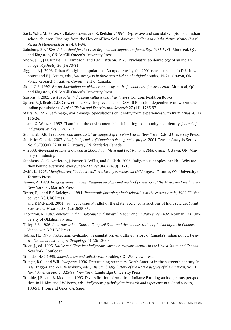- Sack, W.H., M. Beiser, G. Baker-Brown, and R. Redshirt. 1994. Depressive and suicidal symptoms in Indian school children: Findings from the Flower of Two Soils. *American Indian and Alaska Native Mental Health Research Monograph Series* 4: 81-94.
- Salisbury, R.F. 1986. *A homeland for the Cree: Regional development in James Bay, 1971-1981*. Montreal, QC, and Kingston, ON: McGill-Queen's University Press.
- Shore, J.H., J.D. Kinzie, J.L. Hampson, and E.M. Pattison. 1973. Psychiatric epidemiology of an Indian village. *Psychiatry* 36 (1): 70-81.
- Siggner, A.J. 2003. Urban Aboriginal populations: An update using the 2001 census results. In D.R*.* Newhouse and E.J. Peters, eds., *Not strangers in these parts: Urban Aboriginal peoples,* 15-21. Ottawa, ON: Policy Research Initiative, Government of Canada.
- Sioui, G.E. 1992. *For an Amerindian autohistory: An essay on the foundations of a social ethic*. Montreal, QC, and Kingston, ON: McGill-Queen's University Press.
- Sissons, J. 2005. *First peoples: Indigenous cultures and their futures*. London: Reaktion Books.
- Spicer, P., J. Beals, C.D. Croy, et al. 2003. The prevalence of DSM-III-R alcohol dependence in two American Indian populations. *Alcohol Clinical and Experimental Research* 27 (11): 1785-97.
- Stairs, A. 1992. Self-image, world-image: Speculations on identity from experiences with Inuit. *Ethos* 20 (1): 116-26.
- –, and G. Wenzel. 1992. "I am I and the environment": Inuit hunting, community and identity. *Journal of Indigenous Studies* 3 (2): 1-12.
- Stannard, D.E. 1992. *American holocaust: The conquest of the New World.* New York: Oxford University Press.
- Statistics Canada. 2003. *Aboriginal peoples of Canada: A demographic profile.* 2001 Census: Analysis Series No. 96F0030XIE2001007. Ottawa, ON: Statistics Canada.
- –. 2008. *Aboriginal peoples in Canada in 2006: Inuit, Métis and First Nations, 2006 Census.* Ottawa, ON: Ministry of Industry.
- Stephens, C., C. Nettleton, J. Porter, R. Willis, and S. Clark. 2005. Indigenous peoples' health Why are they behind everyone, everywhere? *Lancet* 366 (9479): 10-13.
- Swift, K. 1995. *Manufacturing "bad mothers": A critical perspective on child neglect*. Toronto, ON: University of Toronto Press.
- Tanner, A. 1979. *Bringing home animals: Religious ideology and mode of production of the Mistassini Cree hunters*. New York: St. Martin's Press.
- Tester, F.J., and P.K. Kulchyski. 1994. *Tammarniit (mistakes): Inuit relocation in the eastern Arctic, 1939-63*. Vancouver, BC: UBC Press.
- –, and P. McNicoll. 2004. Isumagijaksaq: Mindful of the state: Social constructions of Inuit suicide. *Social Science and Medicine* 58 (12): 2625-36.
- Thornton, R. 1987. *American Indian Holocaust and survival: A population history since 1492*. Norman, OK: University of Oklahoma Press.
- Titley, E.B. 1986. *A narrow vision: Duncan Campbell Scott and the administration of Indian affairs in Canada*. Vancouver, BC: UBC Press.
- Tobias, J.L. 1976. Protection, civilization, assimilation: An outline history of Canada's Indian policy. *Western Canadian Journal of Anthropology* 61 (2): 12-30.
- Treat, J., ed. 1996. *Native and Christian: Indigenous voices on religious identity in the United States and Canada*. New York: Routledge.
- Triandis, H.C. 1995. *Individualism and collectivism*. Boulder, CO: Westview Press.
- Trigger, B.G., and W.R. Swagerty. 1996. Entertaining strangers: North America in the sixteenth century. In B.G. Trigger and W.E. Washburn, eds., *The Cambridge history of the Native peoples of the Americas,* vol. 1, *North America Part 1,* 325-98. New York: Cambridge University Press.
- Trimble, J.E., and B. Medicine. 1993. Diversification of American Indians: Forming an indigenous perspective. In U. Kim and J.W. Berry, eds., *Indigenous psychologies: Research and experience in cultural context,* 133-51. Thousand Oaks, CA: Sage.